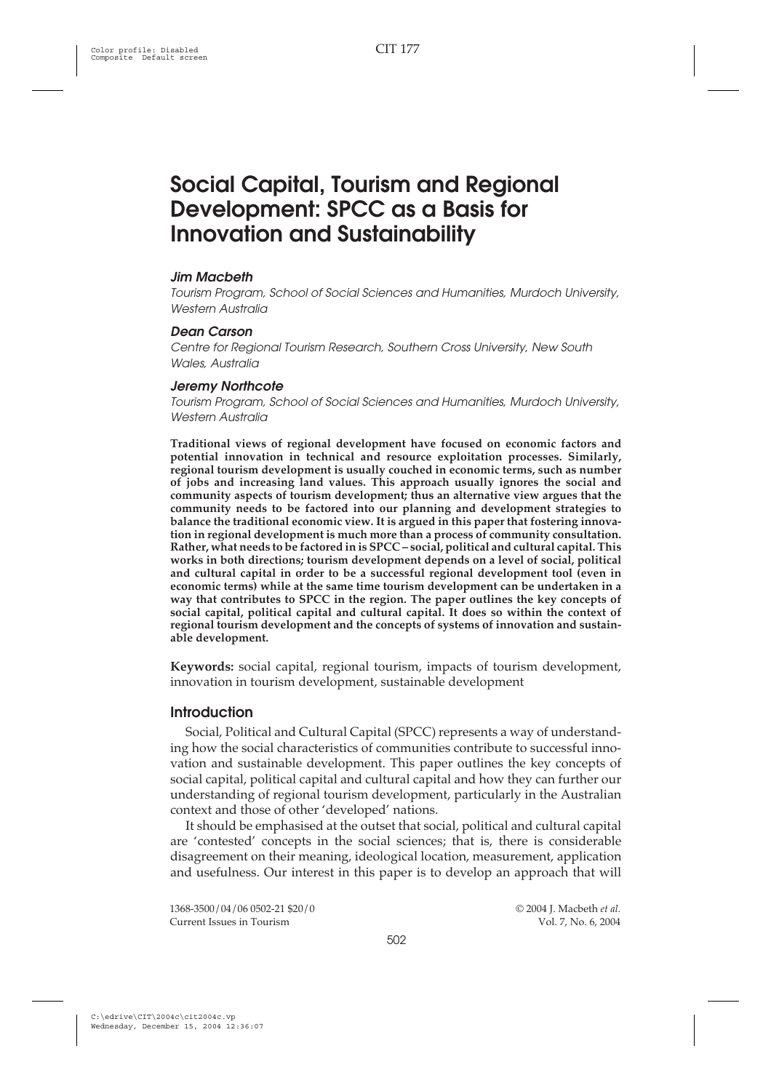# **Social Capital, Tourism and Regional Development: SPCC as a Basis for Innovation and Sustainability**

## **Jim Macbeth**

Tourism Program, School of Social Sciences and Humanities, Murdoch University, Western Australia

## **Dean Carson**

Centre for Regional Tourism Research, Southern Cross University, New South Wales, Australia

## **Jeremy Northcote**

Tourism Program, School of Social Sciences and Humanities, Murdoch University, Western Australia

**Traditional views of regional development have focused on economic factors and potential innovation in technical and resource exploitation processes. Similarly, regional tourism development is usually couched in economic terms, such as number of jobs and increasing land values. This approach usually ignores the social and community aspects of tourism development; thus an alternative view argues that the community needs to be factored into our planning and development strategies to balance the traditional economic view. It is argued in this paper that fostering innovation in regional development is much more than a process of community consultation. Rather, what needs to be factored in is SPCC – social, political and cultural capital. This works in both directions; tourism development depends on a level of social, political and cultural capital in order to be a successful regional development tool (even in economic terms) while at the same time tourism development can be undertaken in a way that contributes to SPCC in the region. The paper outlines the key concepts of social capital, political capital and cultural capital. It does so within the context of regional tourism development and the concepts of systems of innovation and sustainable development.**

**Keywords:** social capital, regional tourism, impacts of tourism development, innovation in tourism development, sustainable development

## **Introduction**

Social, Political and Cultural Capital (SPCC) represents a way of understanding how the social characteristics of communities contribute to successful innovation and sustainable development. This paper outlines the key concepts of social capital, political capital and cultural capital and how they can further our understanding of regional tourism development, particularly in the Australian context and those of other 'developed' nations.

It should be emphasised at the outset that social, political and cultural capital are 'contested' concepts in the social sciences; that is, there is considerable disagreement on their meaning, ideological location, measurement, application and usefulness. Our interest in this paper is to develop an approach that will

1368-3500/04/06 0502-21 \$20/0 © 2004 J. Macbeth *et al.* Current Issues in Tourism Vol. 7, No. 6, 2004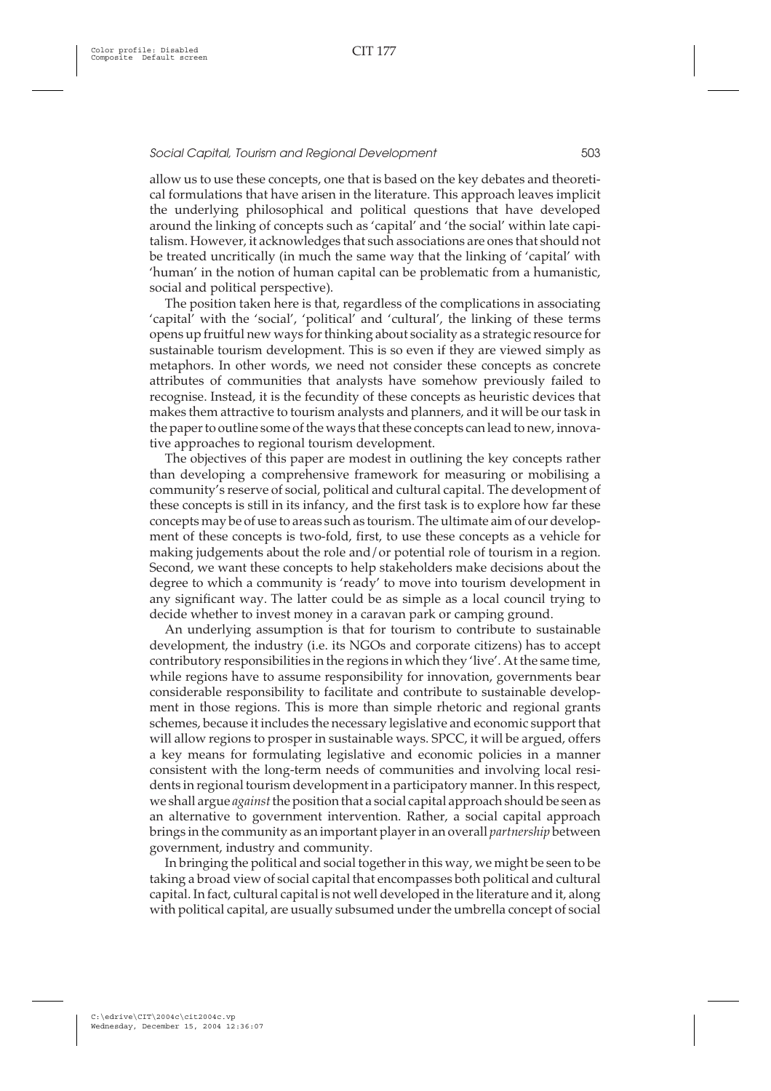allow us to use these concepts, one that is based on the key debates and theoretical formulations that have arisen in the literature. This approach leaves implicit the underlying philosophical and political questions that have developed around the linking of concepts such as 'capital' and 'the social' within late capitalism. However, it acknowledges that such associations are ones that should not be treated uncritically (in much the same way that the linking of 'capital' with 'human' in the notion of human capital can be problematic from a humanistic, social and political perspective).

The position taken here is that, regardless of the complications in associating 'capital' with the 'social', 'political' and 'cultural', the linking of these terms opens up fruitful new ways for thinking about sociality as a strategic resource for sustainable tourism development. This is so even if they are viewed simply as metaphors. In other words, we need not consider these concepts as concrete attributes of communities that analysts have somehow previously failed to recognise. Instead, it is the fecundity of these concepts as heuristic devices that makes them attractive to tourism analysts and planners, and it will be our task in the paper to outline some of the ways that these concepts can lead to new, innovative approaches to regional tourism development.

The objectives of this paper are modest in outlining the key concepts rather than developing a comprehensive framework for measuring or mobilising a community's reserve of social, political and cultural capital. The development of these concepts is still in its infancy, and the first taskis to explore how far these concepts may be of use to areas such as tourism. The ultimate aim of our development of these concepts is two-fold, first, to use these concepts as a vehicle for making judgements about the role and/or potential role of tourism in a region. Second, we want these concepts to help stakeholders make decisions about the degree to which a community is 'ready' to move into tourism development in any significant way. The latter could be as simple as a local council trying to decide whether to invest money in a caravan park or camping ground.

An underlying assumption is that for tourism to contribute to sustainable development, the industry (i.e. its NGOs and corporate citizens) has to accept contributory responsibilities in the regions in which they 'live'. At the same time, while regions have to assume responsibility for innovation, governments bear considerable responsibility to facilitate and contribute to sustainable development in those regions. This is more than simple rhetoric and regional grants schemes, because it includes the necessary legislative and economic support that will allow regions to prosper in sustainable ways. SPCC, it will be argued, offers a key means for formulating legislative and economic policies in a manner consistent with the long-term needs of communities and involving local residents in regional tourism development in a participatory manner. In this respect, we shall argue *against*the position that a social capital approach should be seen as an alternative to government intervention. Rather, a social capital approach brings in the community as an important player in an overall *partnership* between government, industry and community.

In bringing the political and social together in this way, we might be seen to be taking a broad view of social capital that encompasses both political and cultural capital. In fact, cultural capital is not well developed in the literature and it, along with political capital, are usually subsumed under the umbrella concept of social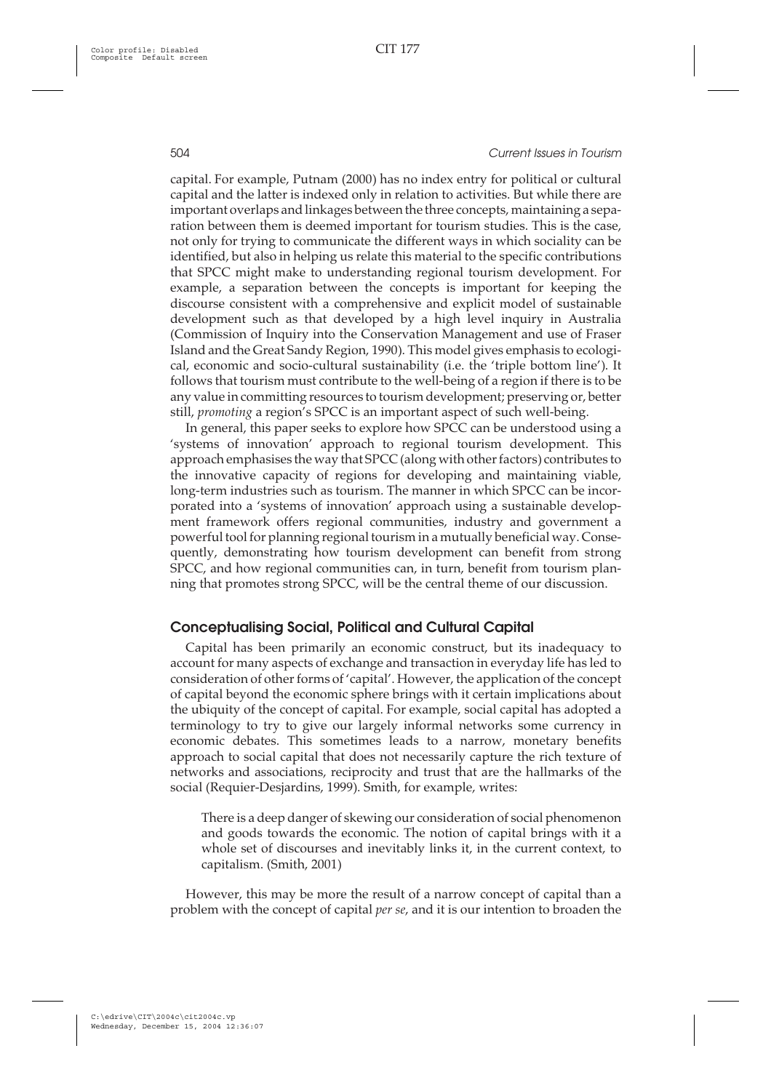capital. For example, Putnam (2000) has no index entry for political or cultural capital and the latter is indexed only in relation to activities. But while there are important overlaps and linkages between the three concepts, maintaining a separation between them is deemed important for tourism studies. This is the case, not only for trying to communicate the different ways in which sociality can be identified, but also in helping us relate this material to the specific contributions that SPCC might make to understanding regional tourism development. For example, a separation between the concepts is important for keeping the discourse consistent with a comprehensive and explicit model of sustainable development such as that developed by a high level inquiry in Australia (Commission of Inquiry into the Conservation Management and use of Fraser Island and the Great Sandy Region, 1990). This model gives emphasis to ecological, economic and socio-cultural sustainability (i.e. the 'triple bottom line'). It follows that tourism must contribute to the well-being of a region if there is to be any value in committing resources to tourism development; preserving or, better still, *promoting* a region's SPCC is an important aspect of such well-being.

In general, this paper seeks to explore how SPCC can be understood using a 'systems of innovation' approach to regional tourism development. This approach emphasises the way that SPCC (along with other factors) contributes to the innovative capacity of regions for developing and maintaining viable, long-term industries such as tourism. The manner in which SPCC can be incorporated into a 'systems of innovation' approach using a sustainable development framework offers regional communities, industry and government a powerful tool for planning regional tourism in a mutually beneficial way. Consequently, demonstrating how tourism development can benefit from strong SPCC, and how regional communities can, in turn, benefit from tourism planning that promotes strong SPCC, will be the central theme of our discussion.

## **Conceptualising Social, Political and Cultural Capital**

Capital has been primarily an economic construct, but its inadequacy to account for many aspects of exchange and transaction in everyday life has led to consideration of other forms of 'capital'. However, the application of the concept of capital beyond the economic sphere brings with it certain implications about the ubiquity of the concept of capital. For example, social capital has adopted a terminology to try to give our largely informal networks some currency in economic debates. This sometimes leads to a narrow, monetary benefits approach to social capital that does not necessarily capture the rich texture of networks and associations, reciprocity and trust that are the hallmarks of the social (Requier-Desjardins, 1999). Smith, for example, writes:

There is a deep danger of skewing our consideration of social phenomenon and goods towards the economic. The notion of capital brings with it a whole set of discourses and inevitably links it, in the current context, to capitalism. (Smith, 2001)

However, this may be more the result of a narrow concept of capital than a problem with the concept of capital *per se*, and it is our intention to broaden the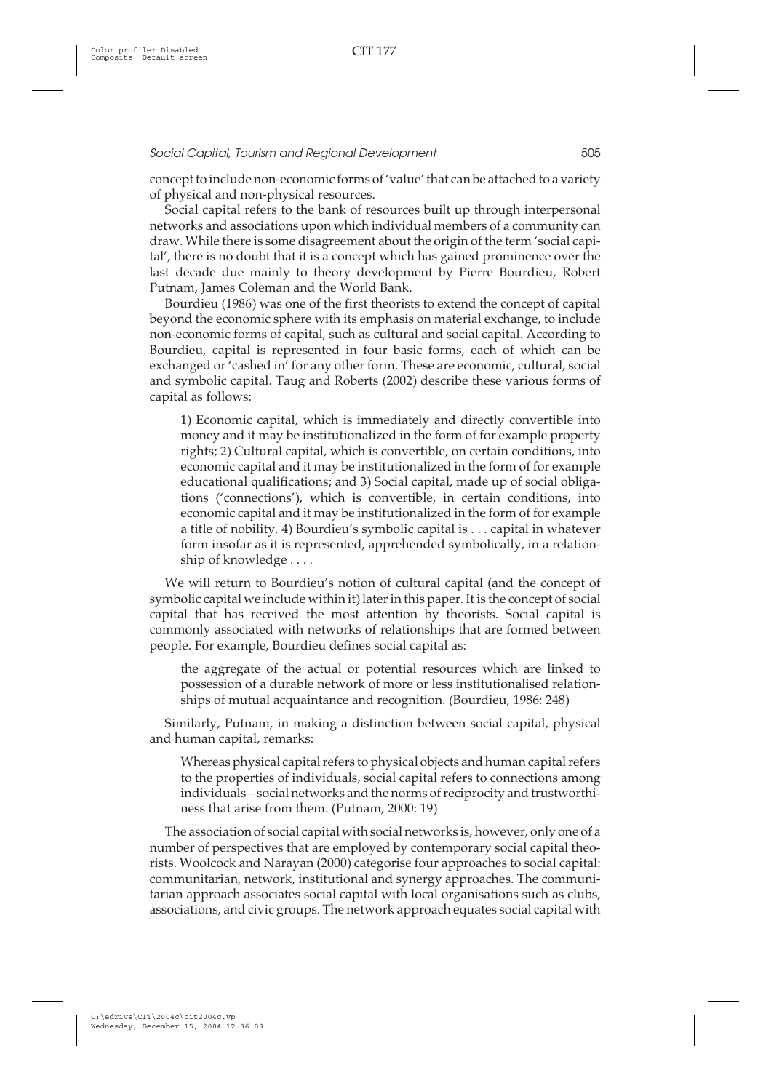concept to include non-economic forms of 'value' that can be attached to a variety of physical and non-physical resources.

Social capital refers to the bank of resources built up through interpersonal networks and associations upon which individual members of a community can draw. While there is some disagreement about the origin of the term 'social capital', there is no doubt that it is a concept which has gained prominence over the last decade due mainly to theory development by Pierre Bourdieu, Robert Putnam, James Coleman and the World Bank.

Bourdieu (1986) was one of the first theorists to extend the concept of capital beyond the economic sphere with its emphasis on material exchange, to include non-economic forms of capital, such as cultural and social capital. According to Bourdieu, capital is represented in four basic forms, each of which can be exchanged or 'cashed in' for any other form. These are economic, cultural, social and symbolic capital. Taug and Roberts (2002) describe these various forms of capital as follows:

1) Economic capital, which is immediately and directly convertible into money and it may be institutionalized in the form of for example property rights; 2) Cultural capital, which is convertible, on certain conditions, into economic capital and it may be institutionalized in the form of for example educational qualifications; and 3) Social capital, made up of social obligations ('connections'), which is convertible, in certain conditions, into economic capital and it may be institutionalized in the form of for example a title of nobility. 4) Bourdieu's symbolic capital is... capital in whatever form insofar as it is represented, apprehended symbolically, in a relationship of knowledge . . . .

We will return to Bourdieu's notion of cultural capital (and the concept of symbolic capital we include within it) later in this paper. It is the concept of social capital that has received the most attention by theorists. Social capital is commonly associated with networks of relationships that are formed between people. For example, Bourdieu defines social capital as:

the aggregate of the actual or potential resources which are linked to possession of a durable network of more or less institutionalised relationships of mutual acquaintance and recognition. (Bourdieu, 1986: 248)

Similarly, Putnam, in making a distinction between social capital, physical and human capital, remarks:

Whereas physical capital refers to physical objects and human capital refers to the properties of individuals, social capital refers to connections among individuals – social networks and the norms of reciprocity and trustworthiness that arise from them. (Putnam, 2000: 19)

The association of social capital with social networks is, however, only one of a number of perspectives that are employed by contemporary social capital theorists. Woolcockand Narayan (2000) categorise four approaches to social capital: communitarian, network, institutional and synergy approaches. The communitarian approach associates social capital with local organisations such as clubs, associations, and civic groups. The networkapproach equates social capital with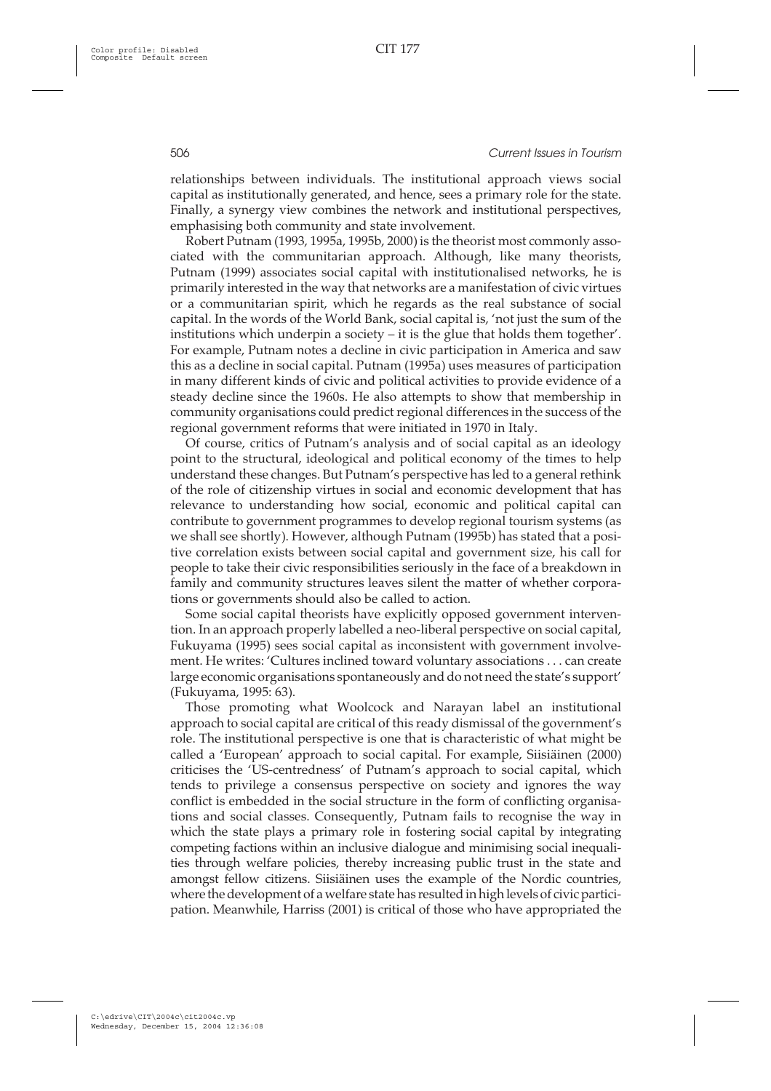relationships between individuals. The institutional approach views social capital as institutionally generated, and hence, sees a primary role for the state. Finally, a synergy view combines the network and institutional perspectives, emphasising both community and state involvement.

Robert Putnam (1993, 1995a, 1995b, 2000) is the theorist most commonly associated with the communitarian approach. Although, like many theorists, Putnam (1999) associates social capital with institutionalised networks, he is primarily interested in the way that networks are a manifestation of civic virtues or a communitarian spirit, which he regards as the real substance of social capital. In the words of the World Bank, social capital is, 'not just the sum of the institutions which underpin a society – it is the glue that holds them together'. For example, Putnam notes a decline in civic participation in America and saw this as a decline in social capital. Putnam (1995a) uses measures of participation in many different kinds of civic and political activities to provide evidence of a steady decline since the 1960s. He also attempts to show that membership in community organisations could predict regional differences in the success of the regional government reforms that were initiated in 1970 in Italy.

Of course, critics of Putnam's analysis and of social capital as an ideology point to the structural, ideological and political economy of the times to help understand these changes. But Putnam's perspective has led to a general rethink of the role of citizenship virtues in social and economic development that has relevance to understanding how social, economic and political capital can contribute to government programmes to develop regional tourism systems (as we shall see shortly). However, although Putnam (1995b) has stated that a positive correlation exists between social capital and government size, his call for people to take their civic responsibilities seriously in the face of a breakdown in family and community structures leaves silent the matter of whether corporations or governments should also be called to action.

Some social capital theorists have explicitly opposed government intervention. In an approach properly labelled a neo-liberal perspective on social capital, Fukuyama (1995) sees social capital as inconsistent with government involvement. He writes: 'Cultures inclined toward voluntary associations . . . can create large economic organisations spontaneously and do not need the state's support' (Fukuyama, 1995: 63).

Those promoting what Woolcock and Narayan label an institutional approach to social capital are critical of this ready dismissal of the government's role. The institutional perspective is one that is characteristic of what might be called a 'European' approach to social capital. For example, Siisiäinen (2000) criticises the 'US-centredness' of Putnam's approach to social capital, which tends to privilege a consensus perspective on society and ignores the way conflict is embedded in the social structure in the form of conflicting organisations and social classes. Consequently, Putnam fails to recognise the way in which the state plays a primary role in fostering social capital by integrating competing factions within an inclusive dialogue and minimising social inequalities through welfare policies, thereby increasing public trust in the state and amongst fellow citizens. Siisiäinen uses the example of the Nordic countries, where the development of a welfare state has resulted in high levels of civic participation. Meanwhile, Harriss (2001) is critical of those who have appropriated the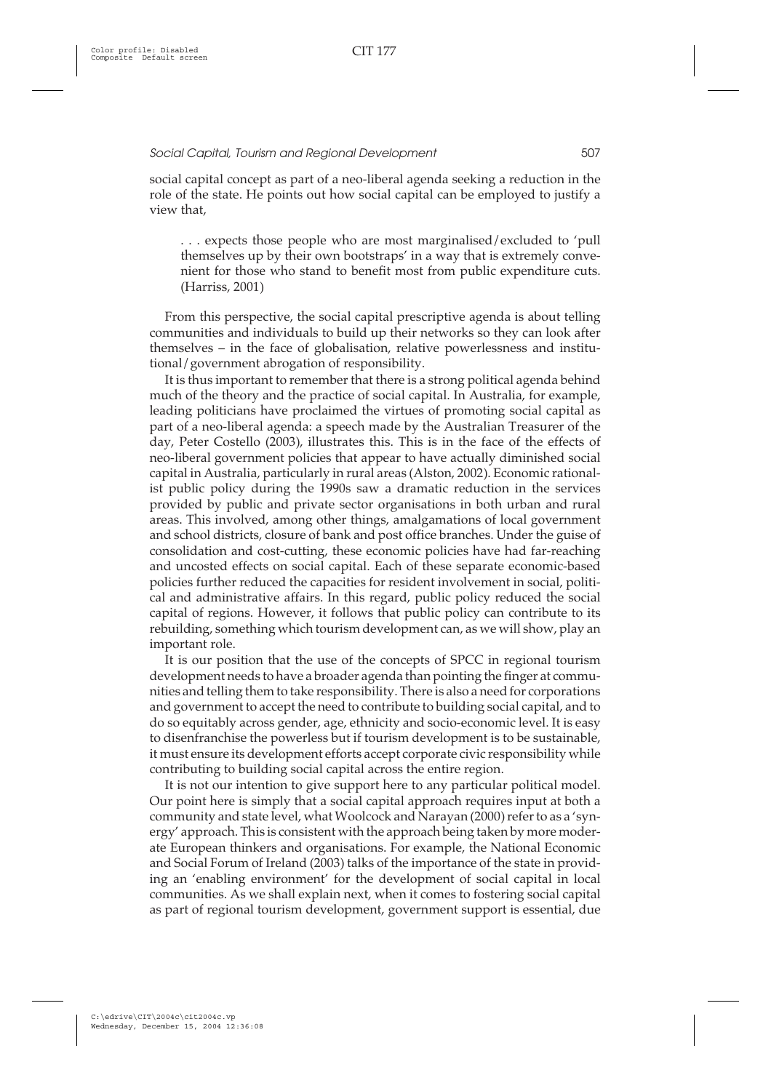social capital concept as part of a neo-liberal agenda seeking a reduction in the role of the state. He points out how social capital can be employed to justify a view that,

. . . expects those people who are most marginalised/excluded to 'pull themselves up by their own bootstraps' in a way that is extremely convenient for those who stand to benefit most from public expenditure cuts. (Harriss, 2001)

From this perspective, the social capital prescriptive agenda is about telling communities and individuals to build up their networks so they can look after themselves – in the face of globalisation, relative powerlessness and institutional/government abrogation of responsibility.

It is thus important to remember that there is a strong political agenda behind much of the theory and the practice of social capital. In Australia, for example, leading politicians have proclaimed the virtues of promoting social capital as part of a neo-liberal agenda: a speech made by the Australian Treasurer of the day, Peter Costello (2003), illustrates this. This is in the face of the effects of neo-liberal government policies that appear to have actually diminished social capital in Australia, particularly in rural areas (Alston, 2002). Economic rationalist public policy during the 1990s saw a dramatic reduction in the services provided by public and private sector organisations in both urban and rural areas. This involved, among other things, amalgamations of local government and school districts, closure of bankand post office branches. Under the guise of consolidation and cost-cutting, these economic policies have had far-reaching and uncosted effects on social capital. Each of these separate economic-based policies further reduced the capacities for resident involvement in social, political and administrative affairs. In this regard, public policy reduced the social capital of regions. However, it follows that public policy can contribute to its rebuilding, something which tourism development can, as we will show, play an important role.

It is our position that the use of the concepts of SPCC in regional tourism development needs to have a broader agenda than pointing the finger at communities and telling them to take responsibility. There is also a need for corporations and government to accept the need to contribute to building social capital, and to do so equitably across gender, age, ethnicity and socio-economic level. It is easy to disenfranchise the powerless but if tourism development is to be sustainable, it must ensure its development efforts accept corporate civic responsibility while contributing to building social capital across the entire region.

It is not our intention to give support here to any particular political model. Our point here is simply that a social capital approach requires input at both a community and state level, what Woolcockand Narayan (2000) refer to as a 'synergy' approach. This is consistent with the approach being taken by more moderate European thinkers and organisations. For example, the National Economic and Social Forum of Ireland (2003) talks of the importance of the state in providing an 'enabling environment' for the development of social capital in local communities. As we shall explain next, when it comes to fostering social capital as part of regional tourism development, government support is essential, due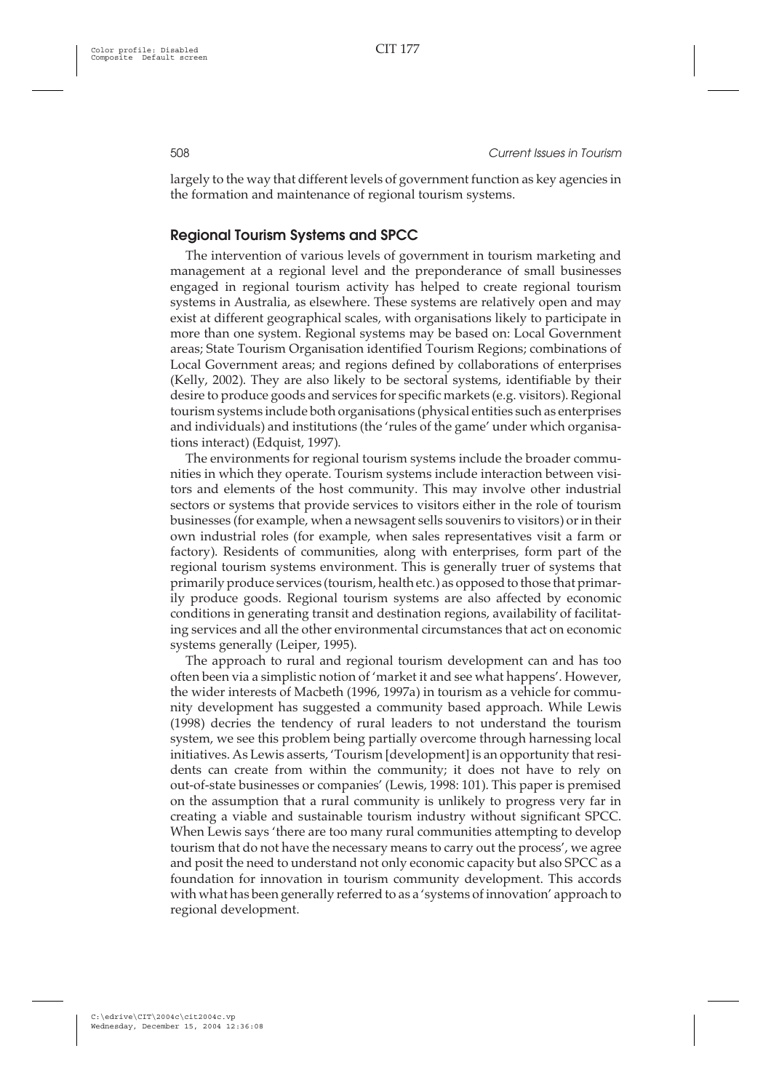largely to the way that different levels of government function as key agencies in the formation and maintenance of regional tourism systems.

## **Regional Tourism Systems and SPCC**

The intervention of various levels of government in tourism marketing and management at a regional level and the preponderance of small businesses engaged in regional tourism activity has helped to create regional tourism systems in Australia, as elsewhere. These systems are relatively open and may exist at different geographical scales, with organisations likely to participate in more than one system. Regional systems may be based on: Local Government areas; State Tourism Organisation identified Tourism Regions; combinations of Local Government areas; and regions defined by collaborations of enterprises (Kelly, 2002). They are also likely to be sectoral systems, identifiable by their desire to produce goods and services for specific markets (e.g. visitors). Regional tourism systems include both organisations (physical entities such as enterprises and individuals) and institutions (the 'rules of the game' under which organisations interact) (Edquist, 1997).

The environments for regional tourism systems include the broader communities in which they operate. Tourism systems include interaction between visitors and elements of the host community. This may involve other industrial sectors or systems that provide services to visitors either in the role of tourism businesses (for example, when a newsagent sells souvenirs to visitors) or in their own industrial roles (for example, when sales representatives visit a farm or factory). Residents of communities, along with enterprises, form part of the regional tourism systems environment. This is generally truer of systems that primarily produce services (tourism, health etc.) as opposed to those that primarily produce goods. Regional tourism systems are also affected by economic conditions in generating transit and destination regions, availability of facilitating services and all the other environmental circumstances that act on economic systems generally (Leiper, 1995).

The approach to rural and regional tourism development can and has too often been via a simplistic notion of 'market it and see what happens'. However, the wider interests of Macbeth (1996, 1997a) in tourism as a vehicle for community development has suggested a community based approach. While Lewis (1998) decries the tendency of rural leaders to not understand the tourism system, we see this problem being partially overcome through harnessing local initiatives. As Lewis asserts, 'Tourism [development] is an opportunity that residents can create from within the community; it does not have to rely on out-of-state businesses or companies' (Lewis, 1998: 101). This paper is premised on the assumption that a rural community is unlikely to progress very far in creating a viable and sustainable tourism industry without significant SPCC. When Lewis says 'there are too many rural communities attempting to develop tourism that do not have the necessary means to carry out the process', we agree and posit the need to understand not only economic capacity but also SPCC as a foundation for innovation in tourism community development. This accords with what has been generally referred to as a 'systems of innovation' approach to regional development.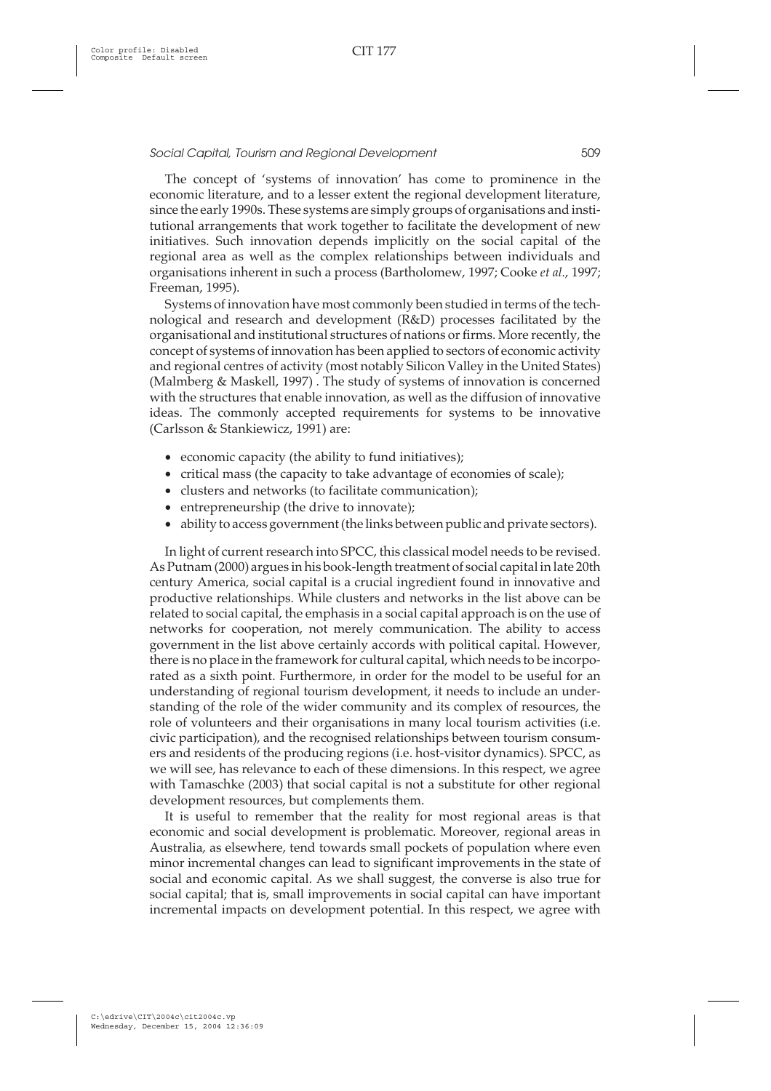The concept of 'systems of innovation' has come to prominence in the economic literature, and to a lesser extent the regional development literature, since the early 1990s. These systems are simply groups of organisations and institutional arrangements that work together to facilitate the development of new initiatives. Such innovation depends implicitly on the social capital of the regional area as well as the complex relationships between individuals and organisations inherent in such a process (Bartholomew, 1997; Cooke *et al.*, 1997; Freeman, 1995).

Systems of innovation have most commonly been studied in terms of the technological and research and development (R&D) processes facilitated by the organisational and institutional structures of nations or firms. More recently, the concept of systems of innovation has been applied to sectors of economic activity and regional centres of activity (most notably Silicon Valley in the United States) (Malmberg & Maskell, 1997) . The study of systems of innovation is concerned with the structures that enable innovation, as well as the diffusion of innovative ideas. The commonly accepted requirements for systems to be innovative (Carlsson & Stankiewicz, 1991) are:

- economic capacity (the ability to fund initiatives);
- critical mass (the capacity to take advantage of economies of scale);
- clusters and networks (to facilitate communication);
- entrepreneurship (the drive to innovate);
- ability to access government (the links between public and private sectors).

In light of current research into SPCC, this classical model needs to be revised. As Putnam (2000) argues in his book-length treatment of social capital in late 20th century America, social capital is a crucial ingredient found in innovative and productive relationships. While clusters and networks in the list above can be related to social capital, the emphasis in a social capital approach is on the use of networks for cooperation, not merely communication. The ability to access government in the list above certainly accords with political capital. However, there is no place in the framework for cultural capital, which needs to be incorporated as a sixth point. Furthermore, in order for the model to be useful for an understanding of regional tourism development, it needs to include an understanding of the role of the wider community and its complex of resources, the role of volunteers and their organisations in many local tourism activities (i.e. civic participation), and the recognised relationships between tourism consumers and residents of the producing regions (i.e. host-visitor dynamics). SPCC, as we will see, has relevance to each of these dimensions. In this respect, we agree with Tamaschke (2003) that social capital is not a substitute for other regional development resources, but complements them.

It is useful to remember that the reality for most regional areas is that economic and social development is problematic. Moreover, regional areas in Australia, as elsewhere, tend towards small pockets of population where even minor incremental changes can lead to significant improvements in the state of social and economic capital. As we shall suggest, the converse is also true for social capital; that is, small improvements in social capital can have important incremental impacts on development potential. In this respect, we agree with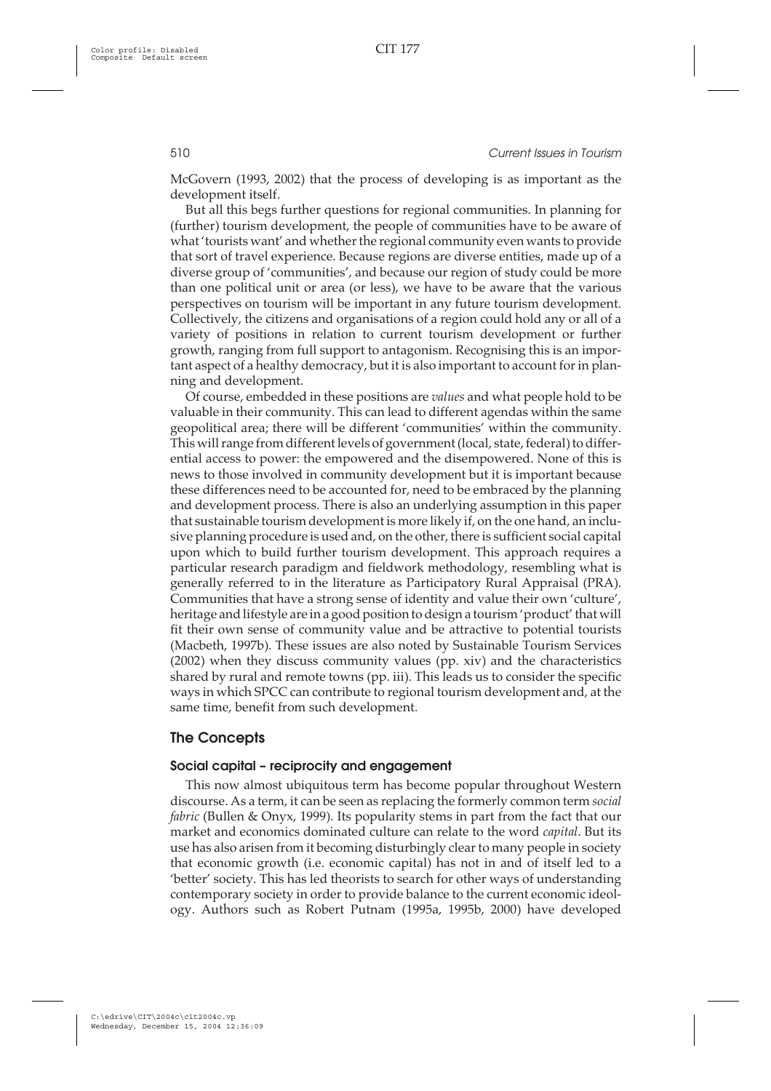McGovern (1993, 2002) that the process of developing is as important as the development itself.

But all this begs further questions for regional communities. In planning for (further) tourism development, the people of communities have to be aware of what 'tourists want' and whether the regional community even wants to provide that sort of travel experience. Because regions are diverse entities, made up of a diverse group of 'communities', and because our region of study could be more than one political unit or area (or less), we have to be aware that the various perspectives on tourism will be important in any future tourism development. Collectively, the citizens and organisations of a region could hold any or all of a variety of positions in relation to current tourism development or further growth, ranging from full support to antagonism. Recognising this is an important aspect of a healthy democracy, but it is also important to account for in planning and development.

Of course, embedded in these positions are *values* and what people hold to be valuable in their community. This can lead to different agendas within the same geopolitical area; there will be different 'communities' within the community. This will range from different levels of government (local, state, federal) to differential access to power: the empowered and the disempowered. None of this is news to those involved in community development but it is important because these differences need to be accounted for, need to be embraced by the planning and development process. There is also an underlying assumption in this paper that sustainable tourism development is more likely if, on the one hand, an inclusive planning procedure is used and, on the other, there is sufficient social capital upon which to build further tourism development. This approach requires a particular research paradigm and fieldwork methodology, resembling what is generally referred to in the literature as Participatory Rural Appraisal (PRA). Communities that have a strong sense of identity and value their own 'culture', heritage and lifestyle are in a good position to design a tourism 'product' that will fit their own sense of community value and be attractive to potential tourists (Macbeth, 1997b). These issues are also noted by Sustainable Tourism Services (2002) when they discuss community values (pp. xiv) and the characteristics shared by rural and remote towns (pp. iii). This leads us to consider the specific ways in which SPCC can contribute to regional tourism development and, at the same time, benefit from such development.

## **The Concepts**

#### **Social capital – reciprocity and engagement**

This now almost ubiquitous term has become popular throughout Western discourse. As a term, it can be seen as replacing the formerly common term *social fabric* (Bullen & Onyx, 1999). Its popularity stems in part from the fact that our market and economics dominated culture can relate to the word *capital*. But its use has also arisen from it becoming disturbingly clear to many people in society that economic growth (i.e. economic capital) has not in and of itself led to a 'better' society. This has led theorists to search for other ways of understanding contemporary society in order to provide balance to the current economic ideology. Authors such as Robert Putnam (1995a, 1995b, 2000) have developed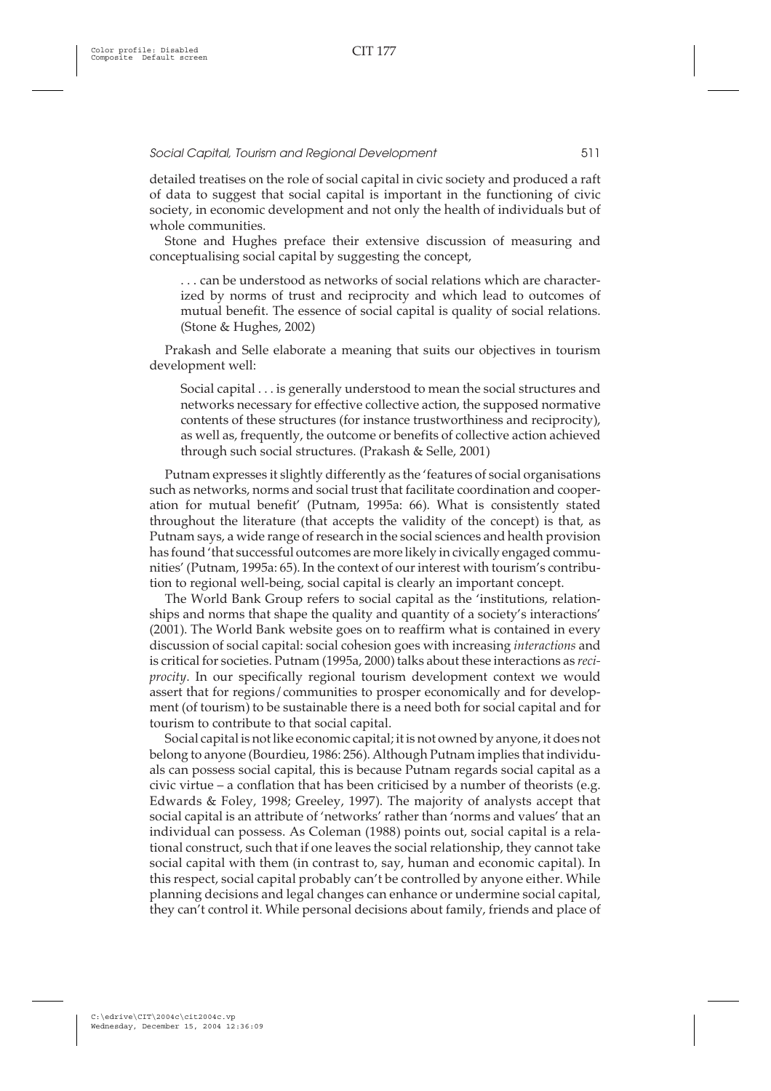detailed treatises on the role of social capital in civic society and produced a raft of data to suggest that social capital is important in the functioning of civic society, in economic development and not only the health of individuals but of whole communities.

Stone and Hughes preface their extensive discussion of measuring and conceptualising social capital by suggesting the concept,

. . . can be understood as networks of social relations which are characterized by norms of trust and reciprocity and which lead to outcomes of mutual benefit. The essence of social capital is quality of social relations. (Stone & Hughes, 2002)

Prakash and Selle elaborate a meaning that suits our objectives in tourism development well:

Social capital . . . is generally understood to mean the social structures and networks necessary for effective collective action, the supposed normative contents of these structures (for instance trustworthiness and reciprocity), as well as, frequently, the outcome or benefits of collective action achieved through such social structures. (Prakash & Selle, 2001)

Putnam expresses it slightly differently as the 'features of social organisations such as networks, norms and social trust that facilitate coordination and cooperation for mutual benefit' (Putnam, 1995a: 66). What is consistently stated throughout the literature (that accepts the validity of the concept) is that, as Putnam says, a wide range of research in the social sciences and health provision has found 'that successful outcomes are more likely in civically engaged communities' (Putnam, 1995a: 65). In the context of our interest with tourism's contribution to regional well-being, social capital is clearly an important concept.

The World Bank Group refers to social capital as the 'institutions, relationships and norms that shape the quality and quantity of a society's interactions' (2001). The World Bank website goes on to reaffirm what is contained in every discussion of social capital: social cohesion goes with increasing *interactions* and is critical for societies. Putnam (1995a, 2000) talks about these interactions as *reciprocity*. In our specifically regional tourism development context we would assert that for regions/communities to prosper economically and for development (of tourism) to be sustainable there is a need both for social capital and for tourism to contribute to that social capital.

Social capital is not like economic capital; it is not owned by anyone, it does not belong to anyone (Bourdieu, 1986: 256). Although Putnam implies that individuals can possess social capital, this is because Putnam regards social capital as a civic virtue – a conflation that has been criticised by a number of theorists (e.g. Edwards & Foley, 1998; Greeley, 1997). The majority of analysts accept that social capital is an attribute of 'networks' rather than 'norms and values' that an individual can possess. As Coleman (1988) points out, social capital is a relational construct, such that if one leaves the social relationship, they cannot take social capital with them (in contrast to, say, human and economic capital). In this respect, social capital probably can't be controlled by anyone either. While planning decisions and legal changes can enhance or undermine social capital, they can't control it. While personal decisions about family, friends and place of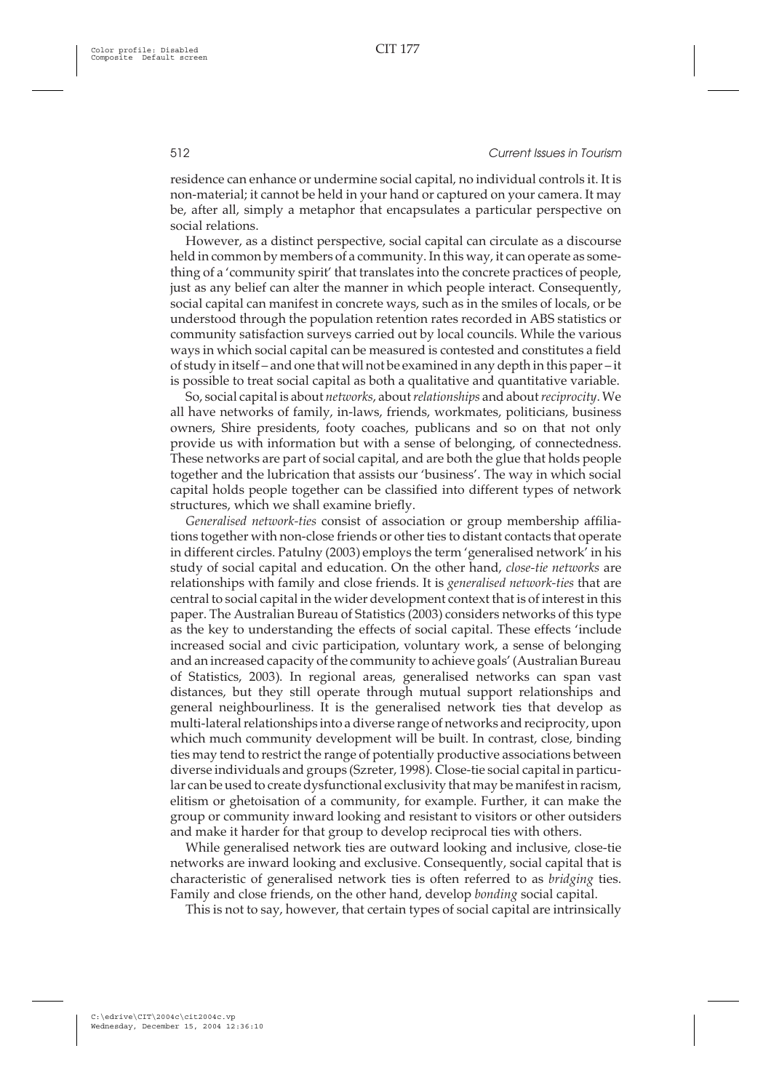residence can enhance or undermine social capital, no individual controls it. It is non-material; it cannot be held in your hand or captured on your camera. It may be, after all, simply a metaphor that encapsulates a particular perspective on social relations.

However, as a distinct perspective, social capital can circulate as a discourse held in common by members of a community. In this way, it can operate as something of a 'community spirit' that translates into the concrete practices of people, just as any belief can alter the manner in which people interact. Consequently, social capital can manifest in concrete ways, such as in the smiles of locals, or be understood through the population retention rates recorded in ABS statistics or community satisfaction surveys carried out by local councils. While the various ways in which social capital can be measured is contested and constitutes a field of study in itself – and one that will not be examined in any depth in this paper – it is possible to treat social capital as both a qualitative and quantitative variable.

So, social capital is about *networks*, about*relationships* and about*reciprocity*. We all have networks of family, in-laws, friends, workmates, politicians, business owners, Shire presidents, footy coaches, publicans and so on that not only provide us with information but with a sense of belonging, of connectedness. These networks are part of social capital, and are both the glue that holds people together and the lubrication that assists our 'business'. The way in which social capital holds people together can be classified into different types of network structures, which we shall examine briefly.

*Generalised network-ties* consist of association or group membership affiliations together with non-close friends or other ties to distant contacts that operate in different circles. Patulny (2003) employs the term 'generalised network' in his study of social capital and education. On the other hand, *close-tie networks* are relationships with family and close friends. It is *generalised network-ties* that are central to social capital in the wider development context that is of interest in this paper. The Australian Bureau of Statistics (2003) considers networks of this type as the key to understanding the effects of social capital. These effects 'include increased social and civic participation, voluntary work, a sense of belonging and an increased capacity of the community to achieve goals' (Australian Bureau of Statistics, 2003). In regional areas, generalised networks can span vast distances, but they still operate through mutual support relationships and general neighbourliness. It is the generalised network ties that develop as multi-lateral relationships into a diverse range of networks and reciprocity, upon which much community development will be built. In contrast, close, binding ties may tend to restrict the range of potentially productive associations between diverse individuals and groups (Szreter, 1998). Close-tie social capital in particular can be used to create dysfunctional exclusivity that may be manifest in racism, elitism or ghetoisation of a community, for example. Further, it can make the group or community inward looking and resistant to visitors or other outsiders and make it harder for that group to develop reciprocal ties with others.

While generalised network ties are outward looking and inclusive, close-tie networks are inward looking and exclusive. Consequently, social capital that is characteristic of generalised network ties is often referred to as *bridging* ties. Family and close friends, on the other hand, develop *bonding* social capital.

This is not to say, however, that certain types of social capital are intrinsically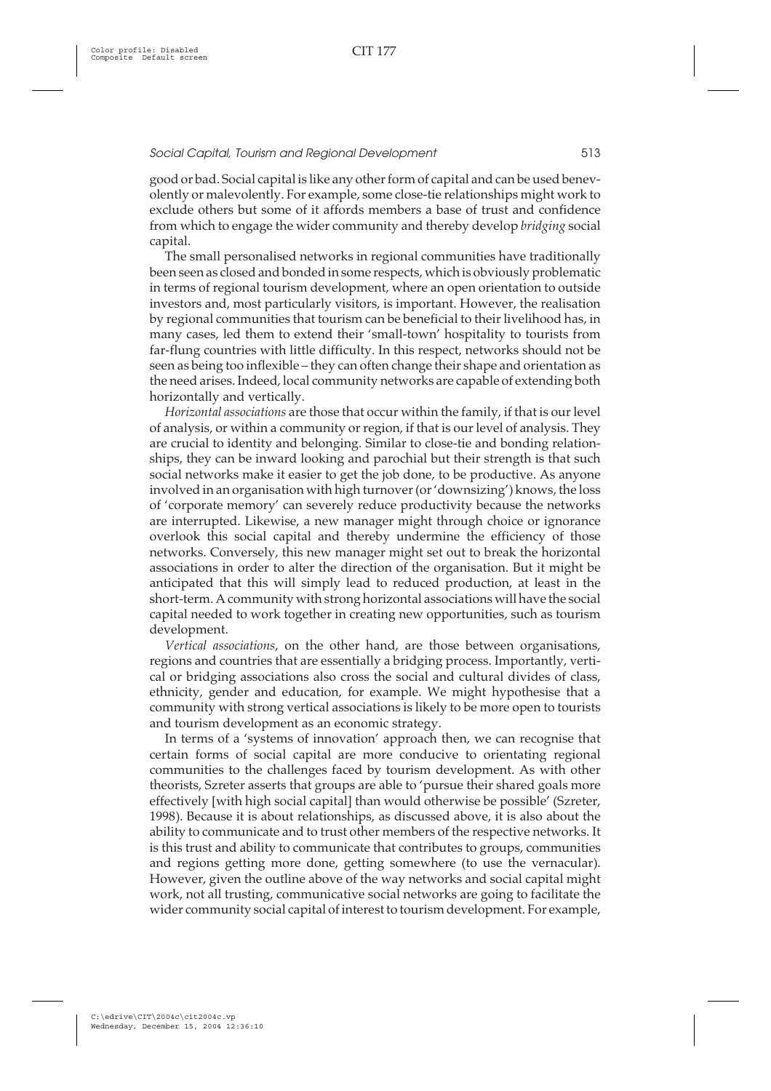good or bad. Social capital is like any other form of capital and can be used benevolently or malevolently. For example, some close-tie relationships might workto exclude others but some of it affords members a base of trust and confidence from which to engage the wider community and thereby develop *bridging* social capital.

The small personalised networks in regional communities have traditionally been seen as closed and bonded in some respects, which is obviously problematic in terms of regional tourism development, where an open orientation to outside investors and, most particularly visitors, is important. However, the realisation by regional communities that tourism can be beneficial to their livelihood has, in many cases, led them to extend their 'small-town' hospitality to tourists from far-flung countries with little difficulty. In this respect, networks should not be seen as being too inflexible – they can often change their shape and orientation as the need arises. Indeed, local community networks are capable of extending both horizontally and vertically.

*Horizontal associations* are those that occur within the family, if that is our level of analysis, or within a community or region, if that is our level of analysis. They are crucial to identity and belonging. Similar to close-tie and bonding relationships, they can be inward looking and parochial but their strength is that such social networks make it easier to get the job done, to be productive. As anyone involved in an organisation with high turnover (or 'downsizing') knows, the loss of 'corporate memory' can severely reduce productivity because the networks are interrupted. Likewise, a new manager might through choice or ignorance overlook this social capital and thereby undermine the efficiency of those networks. Conversely, this new manager might set out to break the horizontal associations in order to alter the direction of the organisation. But it might be anticipated that this will simply lead to reduced production, at least in the short-term. A community with strong horizontal associations will have the social capital needed to work together in creating new opportunities, such as tourism development.

*Vertical associations*, on the other hand, are those between organisations, regions and countries that are essentially a bridging process. Importantly, vertical or bridging associations also cross the social and cultural divides of class, ethnicity, gender and education, for example. We might hypothesise that a community with strong vertical associations is likely to be more open to tourists and tourism development as an economic strategy.

In terms of a 'systems of innovation' approach then, we can recognise that certain forms of social capital are more conducive to orientating regional communities to the challenges faced by tourism development. As with other theorists, Szreter asserts that groups are able to 'pursue their shared goals more effectively [with high social capital] than would otherwise be possible' (Szreter, 1998). Because it is about relationships, as discussed above, it is also about the ability to communicate and to trust other members of the respective networks. It is this trust and ability to communicate that contributes to groups, communities and regions getting more done, getting somewhere (to use the vernacular). However, given the outline above of the way networks and social capital might work, not all trusting, communicative social networks are going to facilitate the wider community social capital of interest to tourism development. For example,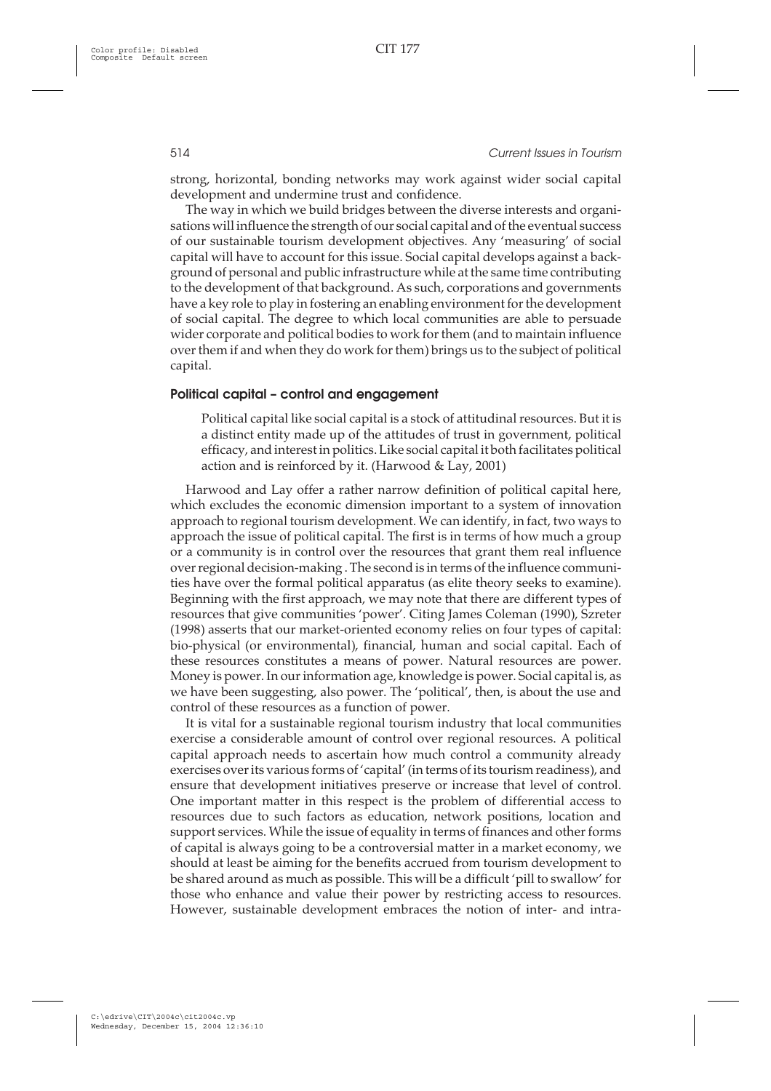strong, horizontal, bonding networks may work against wider social capital development and undermine trust and confidence.

The way in which we build bridges between the diverse interests and organisations will influence the strength of our social capital and of the eventual success of our sustainable tourism development objectives. Any 'measuring' of social capital will have to account for this issue. Social capital develops against a background of personal and public infrastructure while at the same time contributing to the development of that background. As such, corporations and governments have a key role to play in fostering an enabling environment for the development of social capital. The degree to which local communities are able to persuade wider corporate and political bodies to work for them (and to maintain influence over them if and when they do work for them) brings us to the subject of political capital.

#### **Political capital – control and engagement**

Political capital like social capital is a stock of attitudinal resources. But it is a distinct entity made up of the attitudes of trust in government, political efficacy, and interest in politics. Like social capital it both facilitates political action and is reinforced by it. (Harwood & Lay, 2001)

Harwood and Lay offer a rather narrow definition of political capital here, which excludes the economic dimension important to a system of innovation approach to regional tourism development. We can identify, in fact, two ways to approach the issue of political capital. The first is in terms of how much a group or a community is in control over the resources that grant them real influence over regional decision-making . The second is in terms of the influence communities have over the formal political apparatus (as elite theory seeks to examine). Beginning with the first approach, we may note that there are different types of resources that give communities 'power'. Citing James Coleman (1990), Szreter (1998) asserts that our market-oriented economy relies on four types of capital: bio-physical (or environmental), financial, human and social capital. Each of these resources constitutes a means of power. Natural resources are power. Money is power. In our information age, knowledge is power. Social capital is, as we have been suggesting, also power. The 'political', then, is about the use and control of these resources as a function of power.

It is vital for a sustainable regional tourism industry that local communities exercise a considerable amount of control over regional resources. A political capital approach needs to ascertain how much control a community already exercises over its various forms of 'capital' (in terms of its tourism readiness), and ensure that development initiatives preserve or increase that level of control. One important matter in this respect is the problem of differential access to resources due to such factors as education, network positions, location and support services. While the issue of equality in terms of finances and other forms of capital is always going to be a controversial matter in a market economy, we should at least be aiming for the benefits accrued from tourism development to be shared around as much as possible. This will be a difficult 'pill to swallow' for those who enhance and value their power by restricting access to resources. However, sustainable development embraces the notion of inter- and intra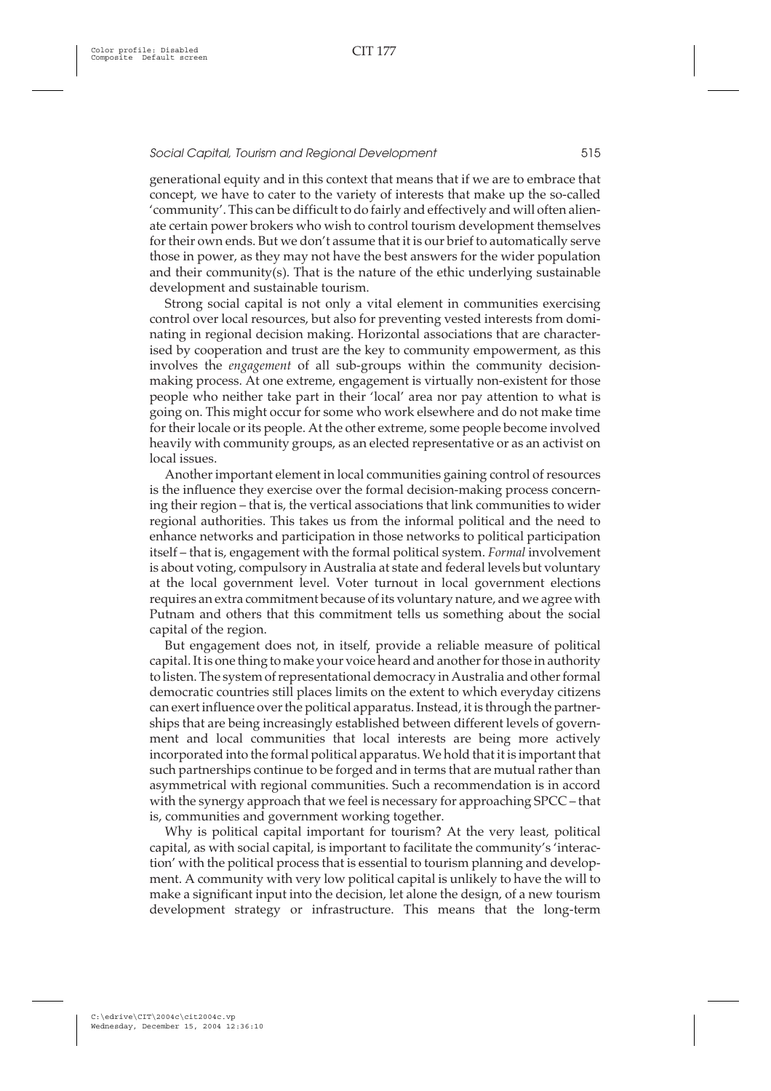generational equity and in this context that means that if we are to embrace that concept, we have to cater to the variety of interests that make up the so-called 'community'. This can be difficult to do fairly and effectively and will often alienate certain power brokers who wish to control tourism development themselves for their own ends. But we don't assume that it is our brief to automatically serve those in power, as they may not have the best answers for the wider population and their community(s). That is the nature of the ethic underlying sustainable development and sustainable tourism.

Strong social capital is not only a vital element in communities exercising control over local resources, but also for preventing vested interests from dominating in regional decision making. Horizontal associations that are characterised by cooperation and trust are the key to community empowerment, as this involves the *engagement* of all sub-groups within the community decisionmaking process. At one extreme, engagement is virtually non-existent for those people who neither take part in their 'local' area nor pay attention to what is going on. This might occur for some who workelsewhere and do not make time for their locale or its people. At the other extreme, some people become involved heavily with community groups, as an elected representative or as an activist on local issues.

Another important element in local communities gaining control of resources is the influence they exercise over the formal decision-making process concerning their region – that is, the vertical associations that link communities to wider regional authorities. This takes us from the informal political and the need to enhance networks and participation in those networks to political participation itself – that is, engagement with the formal political system. *Formal* involvement is about voting, compulsory in Australia at state and federal levels but voluntary at the local government level. Voter turnout in local government elections requires an extra commitment because of its voluntary nature, and we agree with Putnam and others that this commitment tells us something about the social capital of the region.

But engagement does not, in itself, provide a reliable measure of political capital. It is one thing to make your voice heard and another for those in authority to listen. The system of representational democracy in Australia and other formal democratic countries still places limits on the extent to which everyday citizens can exert influence over the political apparatus. Instead, it is through the partnerships that are being increasingly established between different levels of government and local communities that local interests are being more actively incorporated into the formal political apparatus. We hold that it is important that such partnerships continue to be forged and in terms that are mutual rather than asymmetrical with regional communities. Such a recommendation is in accord with the synergy approach that we feel is necessary for approaching SPCC – that is, communities and government working together.

Why is political capital important for tourism? At the very least, political capital, as with social capital, is important to facilitate the community's 'interaction' with the political process that is essential to tourism planning and development. A community with very low political capital is unlikely to have the will to make a significant input into the decision, let alone the design, of a new tourism development strategy or infrastructure. This means that the long-term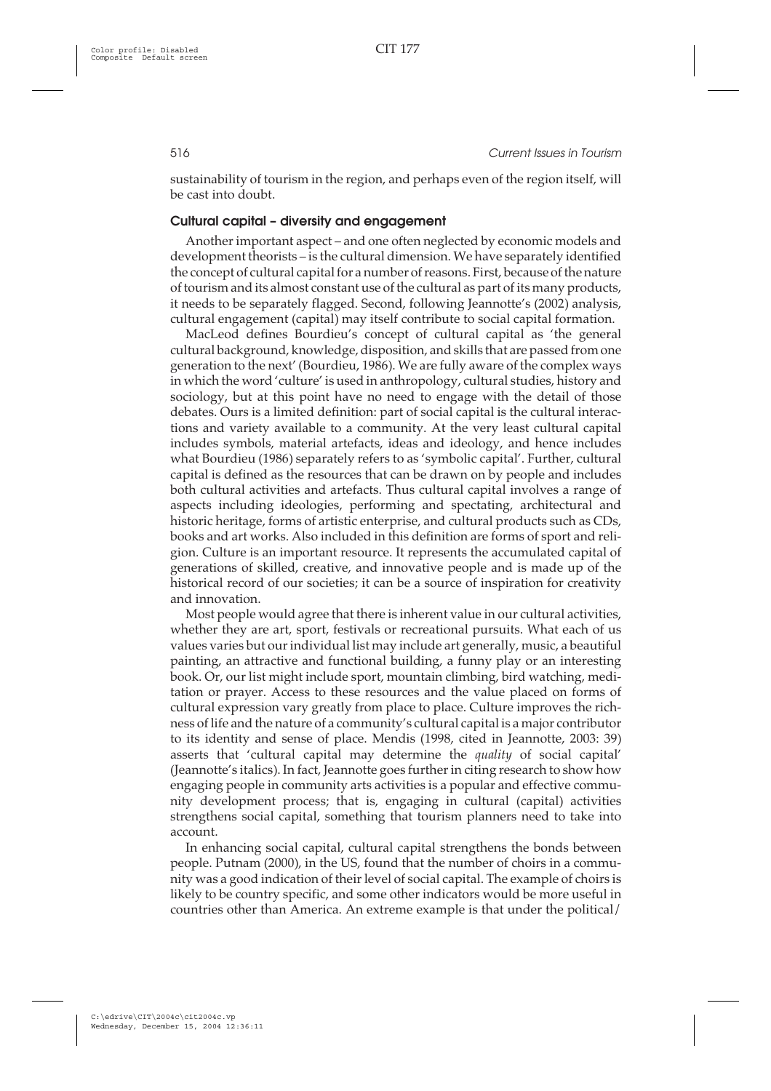sustainability of tourism in the region, and perhaps even of the region itself, will be cast into doubt.

#### **Cultural capital – diversity and engagement**

Another important aspect – and one often neglected by economic models and development theorists – is the cultural dimension. We have separately identified the concept of cultural capital for a number of reasons. First, because of the nature of tourism and its almost constant use of the cultural as part of its many products, it needs to be separately flagged. Second, following Jeannotte's (2002) analysis, cultural engagement (capital) may itself contribute to social capital formation.

MacLeod defines Bourdieu's concept of cultural capital as 'the general cultural background, knowledge, disposition, and skills that are passed from one generation to the next' (Bourdieu, 1986). We are fully aware of the complex ways in which the word 'culture' is used in anthropology, cultural studies, history and sociology, but at this point have no need to engage with the detail of those debates. Ours is a limited definition: part of social capital is the cultural interactions and variety available to a community. At the very least cultural capital includes symbols, material artefacts, ideas and ideology, and hence includes what Bourdieu (1986) separately refers to as 'symbolic capital'. Further, cultural capital is defined as the resources that can be drawn on by people and includes both cultural activities and artefacts. Thus cultural capital involves a range of aspects including ideologies, performing and spectating, architectural and historic heritage, forms of artistic enterprise, and cultural products such as CDs, books and art works. Also included in this definition are forms of sport and religion. Culture is an important resource. It represents the accumulated capital of generations of skilled, creative, and innovative people and is made up of the historical record of our societies; it can be a source of inspiration for creativity and innovation.

Most people would agree that there is inherent value in our cultural activities, whether they are art, sport, festivals or recreational pursuits. What each of us values varies but our individual list may include art generally, music, a beautiful painting, an attractive and functional building, a funny play or an interesting book. Or, our list might include sport, mountain climbing, bird watching, meditation or prayer. Access to these resources and the value placed on forms of cultural expression vary greatly from place to place. Culture improves the richness of life and the nature of a community's cultural capital is a major contributor to its identity and sense of place. Mendis (1998, cited in Jeannotte, 2003: 39) asserts that 'cultural capital may determine the *quality* of social capital' (Jeannotte's italics). In fact, Jeannotte goes further in citing research to show how engaging people in community arts activities is a popular and effective community development process; that is, engaging in cultural (capital) activities strengthens social capital, something that tourism planners need to take into account.

In enhancing social capital, cultural capital strengthens the bonds between people. Putnam (2000), in the US, found that the number of choirs in a community was a good indication of their level of social capital. The example of choirs is likely to be country specific, and some other indicators would be more useful in countries other than America. An extreme example is that under the political/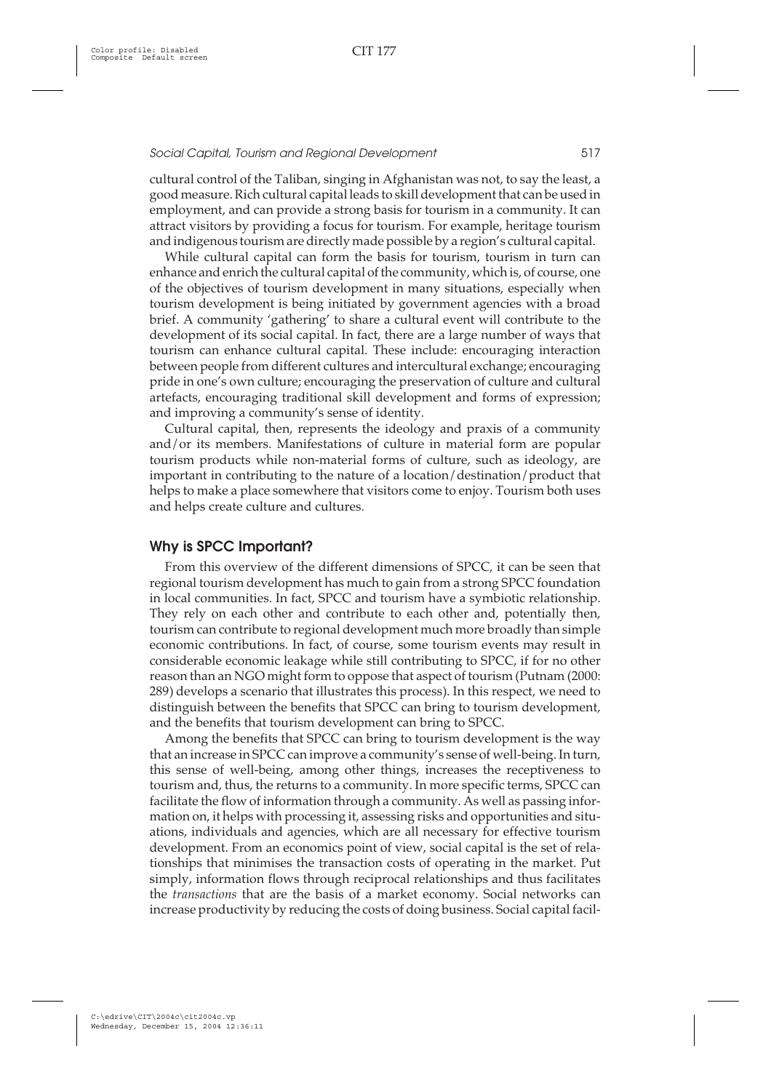cultural control of the Taliban, singing in Afghanistan was not, to say the least, a good measure. Rich cultural capital leads to skill development that can be used in employment, and can provide a strong basis for tourism in a community. It can attract visitors by providing a focus for tourism. For example, heritage tourism and indigenous tourism are directly made possible by a region's cultural capital.

While cultural capital can form the basis for tourism, tourism in turn can enhance and enrich the cultural capital of the community, which is, of course, one of the objectives of tourism development in many situations, especially when tourism development is being initiated by government agencies with a broad brief. A community 'gathering' to share a cultural event will contribute to the development of its social capital. In fact, there are a large number of ways that tourism can enhance cultural capital. These include: encouraging interaction between people from different cultures and intercultural exchange; encouraging pride in one's own culture; encouraging the preservation of culture and cultural artefacts, encouraging traditional skill development and forms of expression; and improving a community's sense of identity.

Cultural capital, then, represents the ideology and praxis of a community and/or its members. Manifestations of culture in material form are popular tourism products while non-material forms of culture, such as ideology, are important in contributing to the nature of a location/destination/product that helps to make a place somewhere that visitors come to enjoy. Tourism both uses and helps create culture and cultures.

## **Why is SPCC Important?**

From this overview of the different dimensions of SPCC, it can be seen that regional tourism development has much to gain from a strong SPCC foundation in local communities. In fact, SPCC and tourism have a symbiotic relationship. They rely on each other and contribute to each other and, potentially then, tourism can contribute to regional development much more broadly than simple economic contributions. In fact, of course, some tourism events may result in considerable economic leakage while still contributing to SPCC, if for no other reason than an NGO might form to oppose that aspect of tourism (Putnam (2000: 289) develops a scenario that illustrates this process). In this respect, we need to distinguish between the benefits that SPCC can bring to tourism development, and the benefits that tourism development can bring to SPCC.

Among the benefits that SPCC can bring to tourism development is the way that an increase in SPCC can improve a community's sense of well-being. In turn, this sense of well-being, among other things, increases the receptiveness to tourism and, thus, the returns to a community. In more specific terms, SPCC can facilitate the flow of information through a community. As well as passing information on, it helps with processing it, assessing risks and opportunities and situations, individuals and agencies, which are all necessary for effective tourism development. From an economics point of view, social capital is the set of relationships that minimises the transaction costs of operating in the market. Put simply, information flows through reciprocal relationships and thus facilitates the *transactions* that are the basis of a market economy. Social networks can increase productivity by reducing the costs of doing business. Social capital facil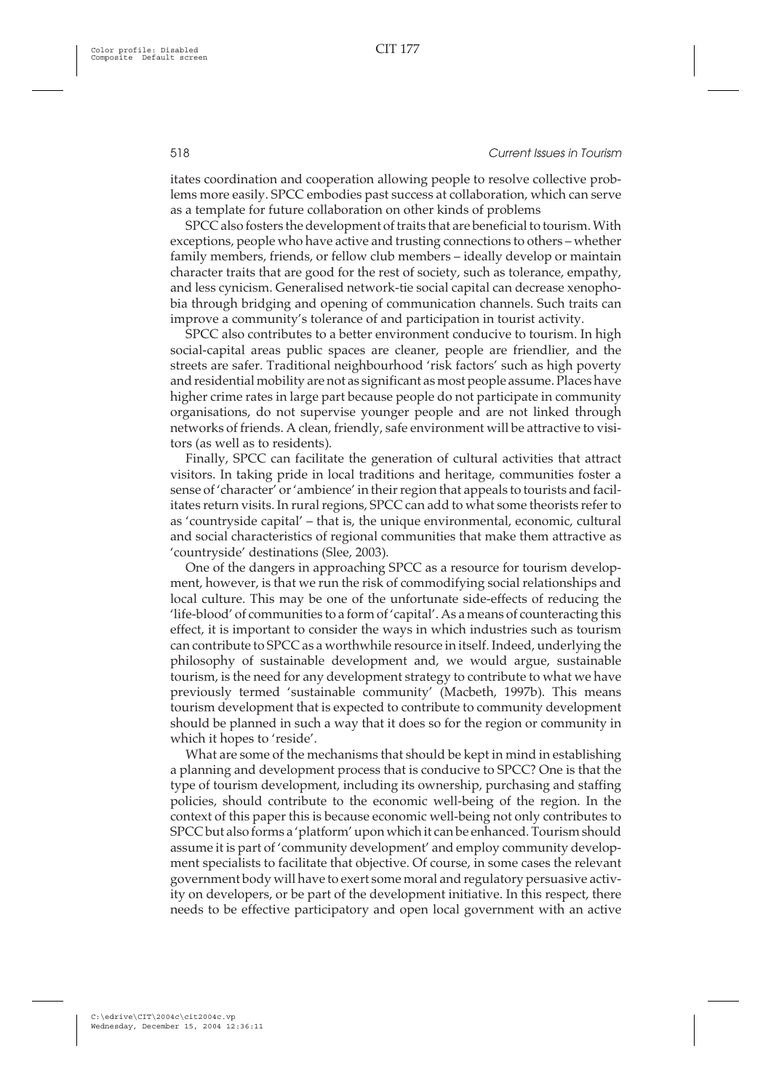itates coordination and cooperation allowing people to resolve collective problems more easily. SPCC embodies past success at collaboration, which can serve as a template for future collaboration on other kinds of problems

SPCC also fosters the development of traits that are beneficial to tourism. With exceptions, people who have active and trusting connections to others – whether family members, friends, or fellow club members – ideally develop or maintain character traits that are good for the rest of society, such as tolerance, empathy, and less cynicism. Generalised network-tie social capital can decrease xenophobia through bridging and opening of communication channels. Such traits can improve a community's tolerance of and participation in tourist activity.

SPCC also contributes to a better environment conducive to tourism. In high social-capital areas public spaces are cleaner, people are friendlier, and the streets are safer. Traditional neighbourhood 'risk factors' such as high poverty and residential mobility are not as significant as most people assume. Places have higher crime rates in large part because people do not participate in community organisations, do not supervise younger people and are not linked through networks of friends. A clean, friendly, safe environment will be attractive to visitors (as well as to residents).

Finally, SPCC can facilitate the generation of cultural activities that attract visitors. In taking pride in local traditions and heritage, communities foster a sense of 'character' or 'ambience' in their region that appeals to tourists and facilitates return visits. In rural regions, SPCC can add to what some theorists refer to as 'countryside capital' – that is, the unique environmental, economic, cultural and social characteristics of regional communities that make them attractive as 'countryside' destinations (Slee, 2003).

One of the dangers in approaching SPCC as a resource for tourism development, however, is that we run the risk of commodifying social relationships and local culture. This may be one of the unfortunate side-effects of reducing the 'life-blood' of communities to a form of 'capital'. As a means of counteracting this effect, it is important to consider the ways in which industries such as tourism can contribute to SPCC as a worthwhile resource in itself. Indeed, underlying the philosophy of sustainable development and, we would argue, sustainable tourism, is the need for any development strategy to contribute to what we have previously termed 'sustainable community' (Macbeth, 1997b). This means tourism development that is expected to contribute to community development should be planned in such a way that it does so for the region or community in which it hopes to 'reside'.

What are some of the mechanisms that should be kept in mind in establishing a planning and development process that is conducive to SPCC? One is that the type of tourism development, including its ownership, purchasing and staffing policies, should contribute to the economic well-being of the region. In the context of this paper this is because economic well-being not only contributes to SPCC but also forms a 'platform' upon which it can be enhanced. Tourism should assume it is part of 'community development' and employ community development specialists to facilitate that objective. Of course, in some cases the relevant government body will have to exert some moral and regulatory persuasive activity on developers, or be part of the development initiative. In this respect, there needs to be effective participatory and open local government with an active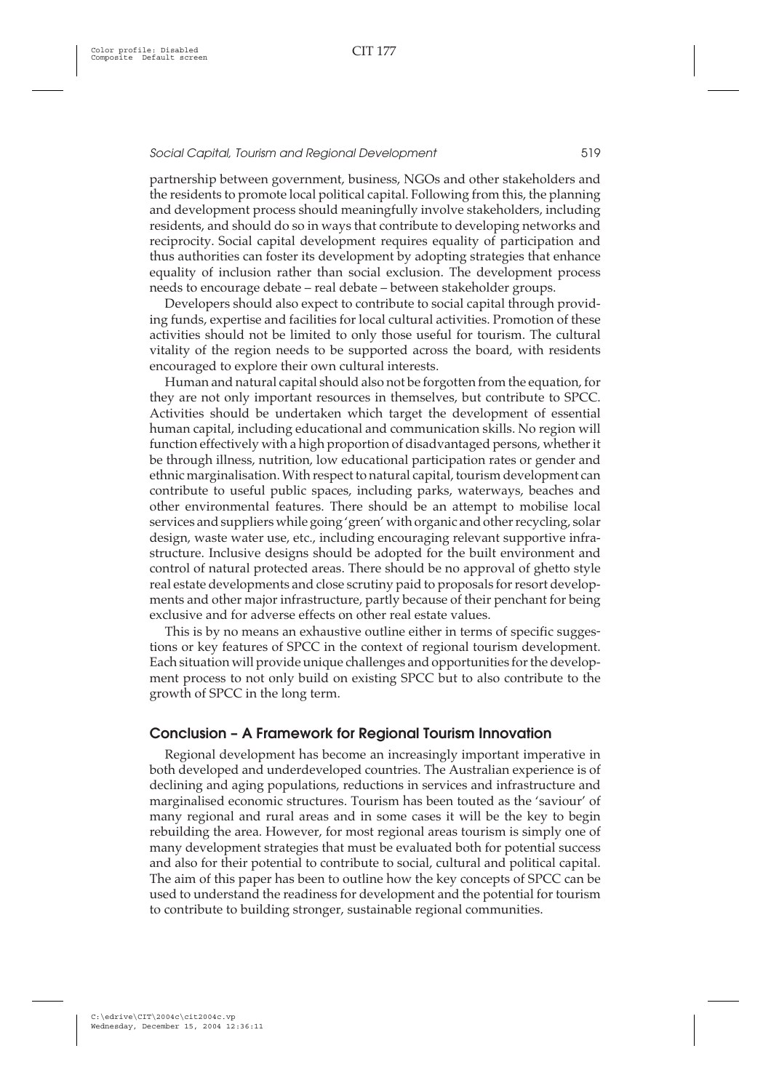partnership between government, business, NGOs and other stakeholders and the residents to promote local political capital. Following from this, the planning and development process should meaningfully involve stakeholders, including residents, and should do so in ways that contribute to developing networks and reciprocity. Social capital development requires equality of participation and thus authorities can foster its development by adopting strategies that enhance equality of inclusion rather than social exclusion. The development process needs to encourage debate – real debate – between stakeholder groups.

Developers should also expect to contribute to social capital through providing funds, expertise and facilities for local cultural activities. Promotion of these activities should not be limited to only those useful for tourism. The cultural vitality of the region needs to be supported across the board, with residents encouraged to explore their own cultural interests.

Human and natural capital should also not be forgotten from the equation, for they are not only important resources in themselves, but contribute to SPCC. Activities should be undertaken which target the development of essential human capital, including educational and communication skills. No region will function effectively with a high proportion of disadvantaged persons, whether it be through illness, nutrition, low educational participation rates or gender and ethnic marginalisation. With respect to natural capital, tourism development can contribute to useful public spaces, including parks, waterways, beaches and other environmental features. There should be an attempt to mobilise local services and suppliers while going 'green' with organic and other recycling, solar design, waste water use, etc., including encouraging relevant supportive infrastructure. Inclusive designs should be adopted for the built environment and control of natural protected areas. There should be no approval of ghetto style real estate developments and close scrutiny paid to proposals for resort developments and other major infrastructure, partly because of their penchant for being exclusive and for adverse effects on other real estate values.

This is by no means an exhaustive outline either in terms of specific suggestions or key features of SPCC in the context of regional tourism development. Each situation will provide unique challenges and opportunities for the development process to not only build on existing SPCC but to also contribute to the growth of SPCC in the long term.

## **Conclusion – A Framework for Regional Tourism Innovation**

Regional development has become an increasingly important imperative in both developed and underdeveloped countries. The Australian experience is of declining and aging populations, reductions in services and infrastructure and marginalised economic structures. Tourism has been touted as the 'saviour' of many regional and rural areas and in some cases it will be the key to begin rebuilding the area. However, for most regional areas tourism is simply one of many development strategies that must be evaluated both for potential success and also for their potential to contribute to social, cultural and political capital. The aim of this paper has been to outline how the key concepts of SPCC can be used to understand the readiness for development and the potential for tourism to contribute to building stronger, sustainable regional communities.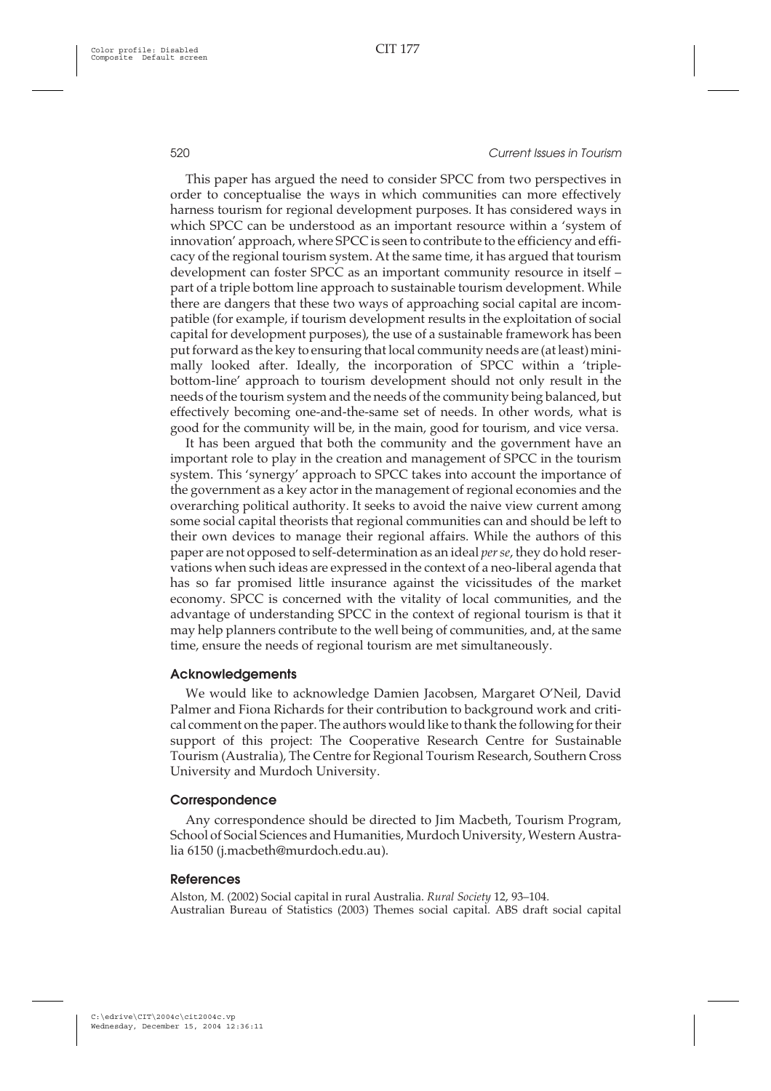This paper has argued the need to consider SPCC from two perspectives in order to conceptualise the ways in which communities can more effectively harness tourism for regional development purposes. It has considered ways in which SPCC can be understood as an important resource within a 'system of innovation' approach, where SPCC is seen to contribute to the efficiency and efficacy of the regional tourism system. At the same time, it has argued that tourism development can foster SPCC as an important community resource in itself – part of a triple bottom line approach to sustainable tourism development. While there are dangers that these two ways of approaching social capital are incompatible (for example, if tourism development results in the exploitation of social capital for development purposes), the use of a sustainable frameworkhas been put forward as the key to ensuring that local community needs are (at least) minimally looked after. Ideally, the incorporation of SPCC within a 'triplebottom-line' approach to tourism development should not only result in the needs of the tourism system and the needs of the community being balanced, but effectively becoming one-and-the-same set of needs. In other words, what is good for the community will be, in the main, good for tourism, and vice versa.

It has been argued that both the community and the government have an important role to play in the creation and management of SPCC in the tourism system. This 'synergy' approach to SPCC takes into account the importance of the government as a key actor in the management of regional economies and the overarching political authority. It seeks to avoid the naive view current among some social capital theorists that regional communities can and should be left to their own devices to manage their regional affairs. While the authors of this paper are not opposed to self-determination as an ideal *per se*, they do hold reservations when such ideas are expressed in the context of a neo-liberal agenda that has so far promised little insurance against the vicissitudes of the market economy. SPCC is concerned with the vitality of local communities, and the advantage of understanding SPCC in the context of regional tourism is that it may help planners contribute to the well being of communities, and, at the same time, ensure the needs of regional tourism are met simultaneously.

## **Acknowledgements**

We would like to acknowledge Damien Jacobsen, Margaret O'Neil, David Palmer and Fiona Richards for their contribution to background work and critical comment on the paper. The authors would like to thank the following for their support of this project: The Cooperative Research Centre for Sustainable Tourism (Australia), The Centre for Regional Tourism Research, Southern Cross University and Murdoch University.

#### **Correspondence**

Any correspondence should be directed to Jim Macbeth, Tourism Program, School of Social Sciences and Humanities, Murdoch University, Western Australia 6150 (j.macbeth@murdoch.edu.au).

### **References**

Alston, M. (2002) Social capital in rural Australia. *Rural Society* 12, 93–104. Australian Bureau of Statistics (2003) Themes social capital. ABS draft social capital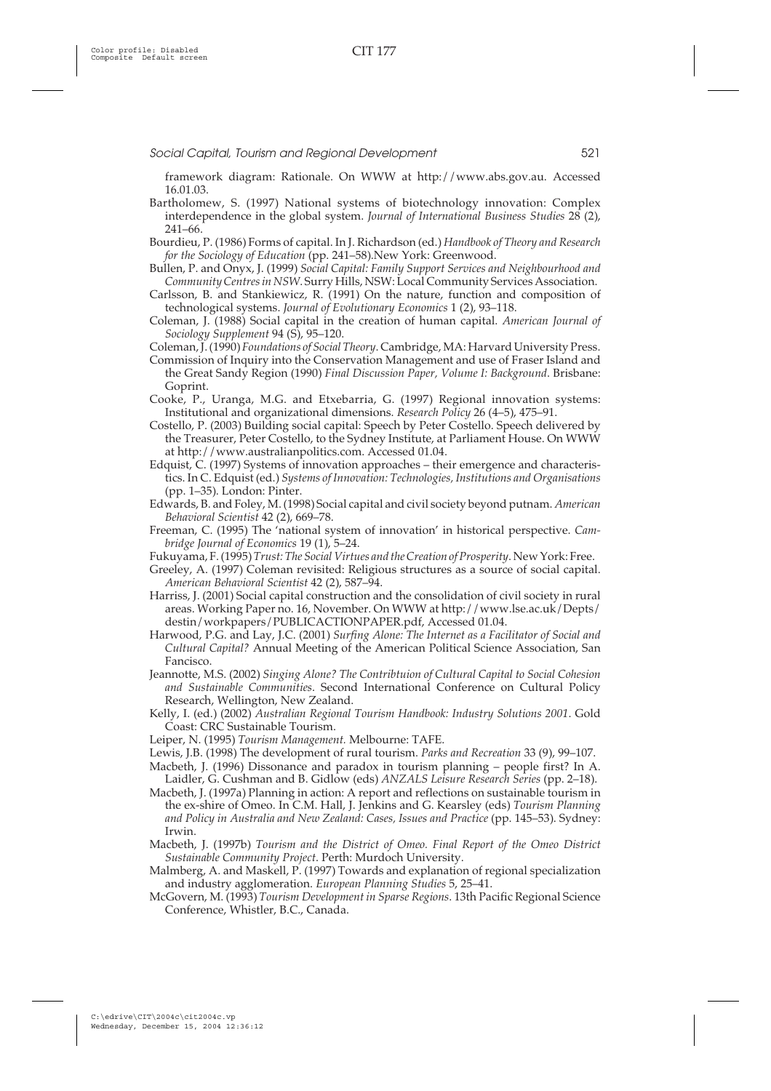framework diagram: Rationale. On WWW at http://www.abs.gov.au. Accessed 16.01.03.

- Bartholomew, S. (1997) National systems of biotechnology innovation: Complex interdependence in the global system. *Journal of International Business Studies* 28 (2), 241–66.
- Bourdieu, P. (1986) Forms of capital. In J. Richardson (ed.) *Handbook of Theory and Research for the Sociology of Education* (pp. 241–58).New York: Greenwood.
- Bullen, P. and Onyx, J. (1999) *Social Capital: Family Support Services and Neighbourhood and Community Centres in NSW*. Surry Hills, NSW: Local Community Services Association.
- Carlsson, B. and Stankiewicz, R. (1991) On the nature, function and composition of technological systems. *Journal of Evolutionary Economics* 1 (2), 93–118.
- Coleman, J. (1988) Social capital in the creation of human capital. *American Journal of Sociology Supplement* 94 (S), 95–120.
- Coleman, J. (1990) *Foundations of Social Theory*. Cambridge, MA: Harvard University Press.
- Commission of Inquiry into the Conservation Management and use of Fraser Island and the Great Sandy Region (1990) *Final Discussion Paper, Volume I: Background*. Brisbane: Goprint.
- Cooke, P., Uranga, M.G. and Etxebarria, G. (1997) Regional innovation systems: Institutional and organizational dimensions. *Research Policy* 26 (4–5), 475–91.
- Costello, P. (2003) Building social capital: Speech by Peter Costello. Speech delivered by the Treasurer, Peter Costello, to the Sydney Institute, at Parliament House. On WWW at http://www.australianpolitics.com. Accessed 01.04.
- Edquist, C. (1997) Systems of innovation approaches their emergence and characteristics. In C. Edquist (ed.) *Systems of Innovation: Technologies, Institutions and Organisations* (pp. 1–35). London: Pinter.
- Edwards, B. and Foley, M. (1998) Social capital and civil society beyond putnam. *American Behavioral Scientist* 42 (2), 669–78.
- Freeman, C. (1995) The 'national system of innovation' in historical perspective. *Cambridge Journal of Economics* 19 (1), 5–24.
- Fukuyama, F. (1995)*Trust: The Social Virtues and the Creation of Prosperity*. New York: Free.
- Greeley, A. (1997) Coleman revisited: Religious structures as a source of social capital. *American Behavioral Scientist* 42 (2), 587–94.
- Harriss, J. (2001) Social capital construction and the consolidation of civil society in rural areas. Working Paper no. 16, November. On WWW at http://www.lse.ac.uk/Depts/ destin/workpapers/PUBLICACTIONPAPER.pdf, Accessed 01.04.
- Harwood, P.G. and Lay, J.C. (2001) *Surfing Alone: The Internet as a Facilitator of Social and Cultural Capital?* Annual Meeting of the American Political Science Association, San Fancisco.
- Jeannotte, M.S. (2002) *Singing Alone? The Contribtuion of Cultural Capital to Social Cohesion and Sustainable Communities*. Second International Conference on Cultural Policy Research, Wellington, New Zealand.
- Kelly, I. (ed.) (2002) *Australian Regional Tourism Handbook: Industry Solutions 2001*. Gold Coast: CRC Sustainable Tourism.
- Leiper, N. (1995) *Tourism Management.* Melbourne: TAFE.
- Lewis, J.B. (1998) The development of rural tourism. *Parks and Recreation* 33 (9), 99–107.
- Macbeth, J. (1996) Dissonance and paradox in tourism planning people first? In A. Laidler, G. Cushman and B. Gidlow (eds) *ANZALS Leisure Research Series* (pp. 2–18).
- Macbeth, J. (1997a) Planning in action: A report and reflections on sustainable tourism in the ex-shire of Omeo. In C.M. Hall, J. Jenkins and G. Kearsley (eds) *Tourism Planning and Policy in Australia and New Zealand: Cases, Issues and Practice* (pp. 145–53). Sydney: Irwin.
- Macbeth, J. (1997b) *Tourism and the District of Omeo. Final Report of the Omeo District Sustainable Community Project*. Perth: Murdoch University.
- Malmberg, A. and Maskell, P. (1997) Towards and explanation of regional specialization and industry agglomeration. *European Planning Studies* 5, 25–41.
- McGovern, M. (1993) *Tourism Development in Sparse Regions*. 13th Pacific Regional Science Conference, Whistler, B.C., Canada.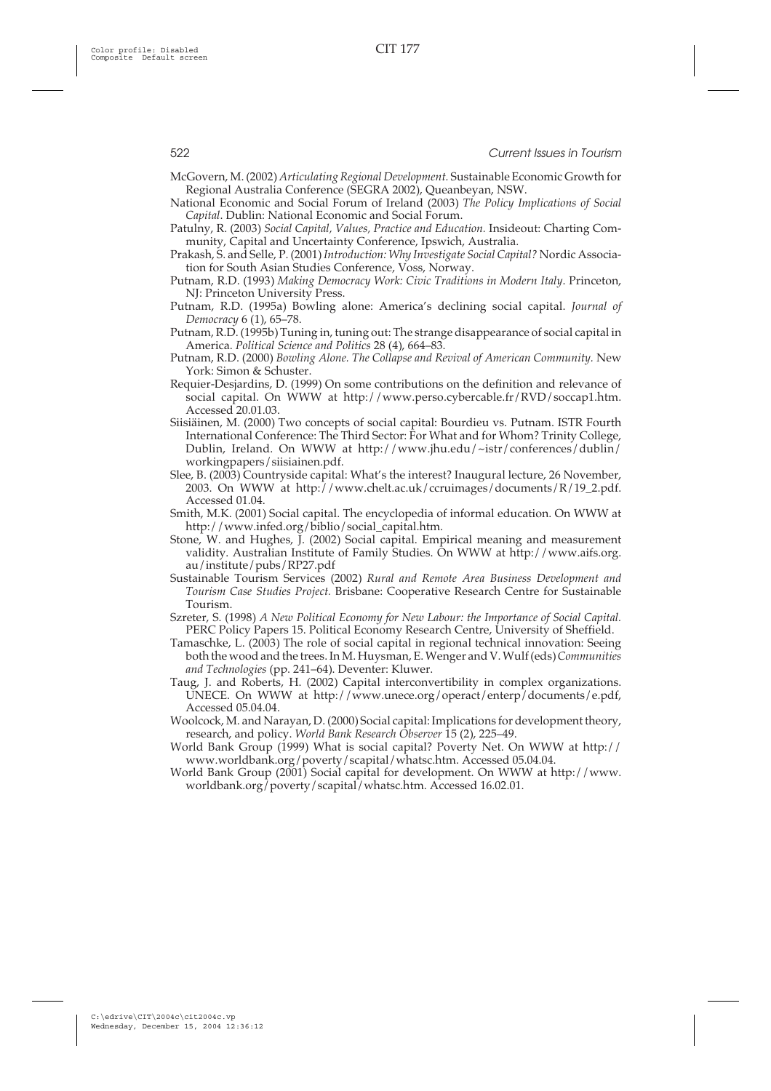- McGovern, M. (2002) *Articulating Regional Development.* Sustainable Economic Growth for Regional Australia Conference (SEGRA 2002), Queanbeyan, NSW.
- National Economic and Social Forum of Ireland (2003) *The Policy Implications of Social Capital*. Dublin: National Economic and Social Forum.
- Patulny, R. (2003) *Social Capital, Values, Practice and Education.* Insideout: Charting Community, Capital and Uncertainty Conference, Ipswich, Australia.
- Prakash, S. and Selle, P. (2001) *Introduction: Why Investigate Social Capital?* Nordic Association for South Asian Studies Conference, Voss, Norway.
- Putnam, R.D. (1993) *Making Democracy Work: Civic Traditions in Modern Italy*. Princeton, NJ: Princeton University Press.
- Putnam, R.D. (1995a) Bowling alone: America's declining social capital. *Journal of Democracy* 6 (1), 65–78.
- Putnam, R.D. (1995b) Tuning in, tuning out: The strange disappearance of social capital in America. *Political Science and Politics* 28 (4), 664–83.
- Putnam, R.D. (2000) *Bowling Alone. The Collapse and Revival of American Community.* New York: Simon & Schuster.
- Requier-Desjardins, D. (1999) On some contributions on the definition and relevance of social capital. On WWW at http://www.perso.cybercable.fr/RVD/soccap1.htm. Accessed 20.01.03.
- Siisiäinen, M. (2000) Two concepts of social capital: Bourdieu vs. Putnam. ISTR Fourth International Conference: The Third Sector: For What and for Whom? Trinity College, Dublin, Ireland. On WWW at http://www.jhu.edu/~istr/conferences/dublin/ workingpapers/siisiainen.pdf.
- Slee, B. (2003) Countryside capital: What's the interest? Inaugural lecture, 26 November, 2003. On WWW at http://www.chelt.ac.uk/ccruimages/documents/R/19\_2.pdf. Accessed 01.04.
- Smith, M.K. (2001) Social capital. The encyclopedia of informal education. On WWW at http://www.infed.org/biblio/social\_capital.htm.
- Stone, W. and Hughes, J. (2002) Social capital. Empirical meaning and measurement validity. Australian Institute of Family Studies. On WWW at http://www.aifs.org. au/institute/pubs/RP27.pdf
- Sustainable Tourism Services (2002) *Rural and Remote Area Business Development and Tourism Case Studies Project.* Brisbane: Cooperative Research Centre for Sustainable Tourism.
- Szreter, S. (1998) *A New Political Economy for New Labour: the Importance of Social Capital.* PERC Policy Papers 15. Political Economy Research Centre, University of Sheffield.
- Tamaschke, L. (2003) The role of social capital in regional technical innovation: Seeing both the wood and the trees. In M. Huysman, E. Wenger and V. Wulf (eds)*Communities and Technologies* (pp. 241–64). Deventer: Kluwer.
- Taug, J. and Roberts, H. (2002) Capital interconvertibility in complex organizations. UNECE. On WWW at http://www.unece.org/operact/enterp/documents/e.pdf, Accessed 05.04.04.
- Woolcock, M. and Narayan, D. (2000) Social capital: Implications for development theory, research, and policy. *World Bank Research Observer* 15 (2), 225–49.
- World Bank Group (1999) What is social capital? Poverty Net. On WWW at http:// www.worldbank.org/poverty/scapital/whatsc.htm. Accessed 05.04.04.
- World BankGroup (2001) Social capital for development. On WWW at http://www. worldbank.org/poverty/scapital/whatsc.htm. Accessed 16.02.01.